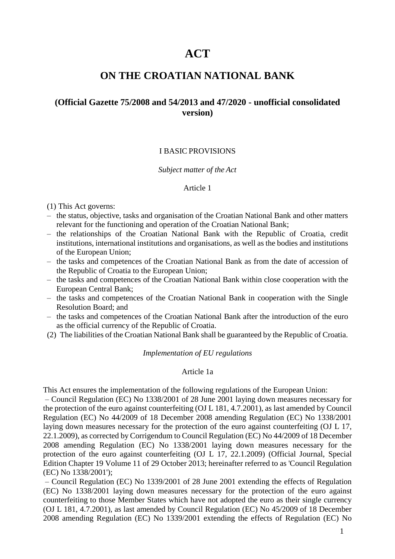# **ACT**

# **ON THE CROATIAN NATIONAL BANK**

# **(Official Gazette 75/2008 and 54/2013 and 47/2020 - unofficial consolidated version)**

# I BASIC PROVISIONS

#### *Subject matter of the Act*

# Article 1

(1) This Act governs:

- the status, objective, tasks and organisation of the Croatian National Bank and other matters relevant for the functioning and operation of the Croatian National Bank;
- the relationships of the Croatian National Bank with the Republic of Croatia, credit institutions, international institutions and organisations, as well as the bodies and institutions of the European Union;
- the tasks and competences of the Croatian National Bank as from the date of accession of the Republic of Croatia to the European Union;
- the tasks and competences of the Croatian National Bank within close cooperation with the European Central Bank;
- the tasks and competences of the Croatian National Bank in cooperation with the Single Resolution Board; and
- the tasks and competences of the Croatian National Bank after the introduction of the euro as the official currency of the Republic of Croatia.
- (2) The liabilities of the Croatian National Bank shall be guaranteed by the Republic of Croatia.

### *Implementation of EU regulations*

#### Article 1a

This Act ensures the implementation of the following regulations of the European Union:

– Council Regulation (EC) No 1338/2001 of 28 June 2001 laying down measures necessary for the protection of the euro against counterfeiting (OJ L 181, 4.7.2001), as last amended by Council Regulation (EC) No 44/2009 of 18 December 2008 amending Regulation (EC) No 1338/2001 laying down measures necessary for the protection of the euro against counterfeiting (OJ L 17, 22.1.2009), as corrected by Corrigendum to Council Regulation (EC) No 44/2009 of 18 December 2008 amending Regulation (EC) No 1338/2001 laying down measures necessary for the protection of the euro against counterfeiting (OJ L 17, 22.1.2009) (Official Journal, Special Edition Chapter 19 Volume 11 of 29 October 2013; hereinafter referred to as 'Council Regulation (EC) No 1338/2001');

– Council Regulation (EC) No 1339/2001 of 28 June 2001 extending the effects of Regulation (EC) No 1338/2001 laying down measures necessary for the protection of the euro against counterfeiting to those Member States which have not adopted the euro as their single currency (OJ L 181, 4.7.2001), as last amended by Council Regulation (EC) No 45/2009 of 18 December 2008 amending Regulation (EC) No 1339/2001 extending the effects of Regulation (EC) No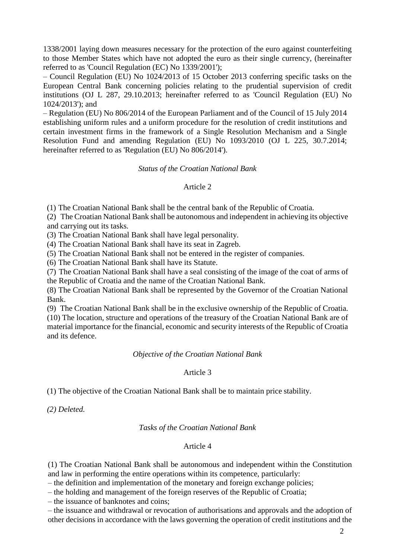1338/2001 laying down measures necessary for the protection of the euro against counterfeiting to those Member States which have not adopted the euro as their single currency, (hereinafter referred to as 'Council Regulation (EC) No 1339/2001');

– Council Regulation (EU) No 1024/2013 of 15 October 2013 conferring specific tasks on the European Central Bank concerning policies relating to the prudential supervision of credit institutions (OJ L 287, 29.10.2013; hereinafter referred to as 'Council Regulation (EU) No 1024/2013'); and

– Regulation (EU) No 806/2014 of the European Parliament and of the Council of 15 July 2014 establishing uniform rules and a uniform procedure for the resolution of credit institutions and certain investment firms in the framework of a Single Resolution Mechanism and a Single Resolution Fund and amending Regulation (EU) No 1093/2010 (OJ L 225, 30.7.2014; hereinafter referred to as 'Regulation (EU) No 806/2014').

### *Status of the Croatian National Bank*

# Article 2

(1) The Croatian National Bank shall be the central bank of the Republic of Croatia.

(2) The Croatian National Bank shall be autonomous and independent in achieving its objective and carrying out its tasks.

(3) The Croatian National Bank shall have legal personality.

(4) The Croatian National Bank shall have its seat in Zagreb.

(5) The Croatian National Bank shall not be entered in the register of companies.

(6) The Croatian National Bank shall have its Statute.

(7) The Croatian National Bank shall have a seal consisting of the image of the coat of arms of the Republic of Croatia and the name of the Croatian National Bank.

(8) The Croatian National Bank shall be represented by the Governor of the Croatian National Bank.

(9) The Croatian National Bank shall be in the exclusive ownership of the Republic of Croatia. (10) The location, structure and operations of the treasury of the Croatian National Bank are of material importance for the financial, economic and security interests of the Republic of Croatia and its defence.

#### *Objective of the Croatian National Bank*

# Article 3

(1) The objective of the Croatian National Bank shall be to maintain price stability.

*(2) Deleted.*

#### *Tasks of the Croatian National Bank*

# Article 4

(1) The Croatian National Bank shall be autonomous and independent within the Constitution and law in performing the entire operations within its competence, particularly:

– the definition and implementation of the monetary and foreign exchange policies;

– the holding and management of the foreign reserves of the Republic of Croatia;

– the issuance of banknotes and coins;

– the issuance and withdrawal or revocation of authorisations and approvals and the adoption of other decisions in accordance with the laws governing the operation of credit institutions and the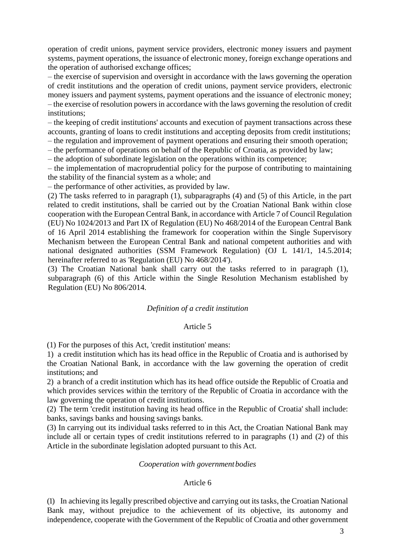operation of credit unions, payment service providers, electronic money issuers and payment systems, payment operations, the issuance of electronic money, foreign exchange operations and the operation of authorised exchange offices;

– the exercise of supervision and oversight in accordance with the laws governing the operation of credit institutions and the operation of credit unions, payment service providers, electronic money issuers and payment systems, payment operations and the issuance of electronic money; – the exercise of resolution powers in accordance with the laws governing the resolution of credit institutions;

– the keeping of credit institutions' accounts and execution of payment transactions across these accounts, granting of loans to credit institutions and accepting deposits from credit institutions;

– the regulation and improvement of payment operations and ensuring their smooth operation;

– the performance of operations on behalf of the Republic of Croatia, as provided by law;

– the adoption of subordinate legislation on the operations within its competence;

– the implementation of macroprudential policy for the purpose of contributing to maintaining the stability of the financial system as a whole; and

– the performance of other activities, as provided by law.

(2) The tasks referred to in paragraph (1), subparagraphs (4) and (5) of this Article, in the part related to credit institutions, shall be carried out by the Croatian National Bank within close cooperation with the European Central Bank, in accordance with Article 7 of Council Regulation (EU) No 1024/2013 and Part IX of Regulation (EU) No 468/2014 of the European Central Bank of 16 April 2014 establishing the framework for cooperation within the Single Supervisory Mechanism between the European Central Bank and national competent authorities and with national designated authorities (SSM Framework Regulation) (OJ L 141/1, 14.5.2014; hereinafter referred to as 'Regulation (EU) No 468/2014').

(3) The Croatian National bank shall carry out the tasks referred to in paragraph (1), subparagraph (6) of this Article within the Single Resolution Mechanism established by Regulation (EU) No 806/2014.

# *Definition of a credit institution*

# Article 5

(1) For the purposes of this Act, 'credit institution' means:

1) a credit institution which has its head office in the Republic of Croatia and is authorised by the Croatian National Bank, in accordance with the law governing the operation of credit institutions; and

2) a branch of a credit institution which has its head office outside the Republic of Croatia and which provides services within the territory of the Republic of Croatia in accordance with the law governing the operation of credit institutions.

(2) The term 'credit institution having its head office in the Republic of Croatia' shall include: banks, savings banks and housing savings banks.

(3) In carrying out its individual tasks referred to in this Act, the Croatian National Bank may include all or certain types of credit institutions referred to in paragraphs (1) and (2) of this Article in the subordinate legislation adopted pursuant to this Act.

# *Cooperation with government bodies*

# Article 6

(1) In achieving its legally prescribed objective and carrying out its tasks, the Croatian National Bank may, without prejudice to the achievement of its objective, its autonomy and independence, cooperate with the Government of the Republic of Croatia and other government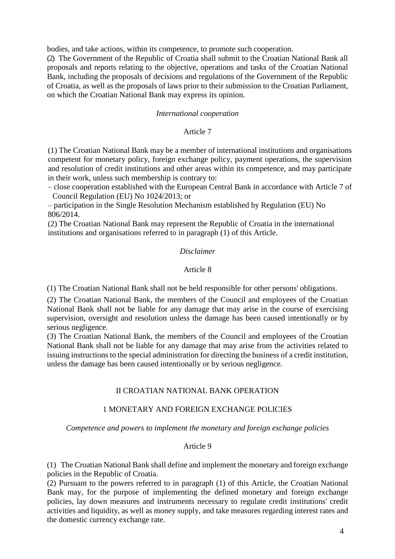bodies, and take actions, within its competence, to promote such cooperation.

(2) The Government of the Republic of Croatia shall submit to the Croatian National Bank all proposals and reports relating to the objective, operations and tasks of the Croatian National Bank, including the proposals of decisions and regulations of the Government of the Republic of Croatia, as well as the proposals of laws prior to their submission to the Croatian Parliament, on which the Croatian National Bank may express its opinion.

### *International cooperation*

### Article 7

(1) The Croatian National Bank may be a member of international institutions and organisations competent for monetary policy, foreign exchange policy, payment operations, the supervision and resolution of credit institutions and other areas within its competence, and may participate in their work, unless such membership is contrary to:

– close cooperation established with the European Central Bank in accordance with Article 7 of Council Regulation (EU) No 1024/2013; or

– participation in the Single Resolution Mechanism established by Regulation (EU) No 806/2014.

(2) The Croatian National Bank may represent the Republic of Croatia in the international institutions and organisations referred to in paragraph (1) of this Article.

### *Disclaimer*

# Article 8

(1) The Croatian National Bank shall not be held responsible for other persons' obligations.

(2) The Croatian National Bank, the members of the Council and employees of the Croatian National Bank shall not be liable for any damage that may arise in the course of exercising supervision, oversight and resolution unless the damage has been caused intentionally or by serious negligence.

(3) The Croatian National Bank, the members of the Council and employees of the Croatian National Bank shall not be liable for any damage that may arise from the activities related to issuing instructions to the special administration for directing the business of a credit institution, unless the damage has been caused intentionally or by serious negligence.

# II CROATIAN NATIONAL BANK OPERATION

#### 1 MONETARY AND FOREIGN EXCHANGE POLICIES

*Competence and powers to implement the monetary and foreign exchange policies*

# Article 9

(1) The Croatian National Bank shall define and implement the monetary and foreign exchange policies in the Republic of Croatia.

(2) Pursuant to the powers referred to in paragraph (1) of this Article, the Croatian National Bank may, for the purpose of implementing the defined monetary and foreign exchange policies, lay down measures and instruments necessary to regulate credit institutions' credit activities and liquidity, as well as money supply, and take measures regarding interest rates and the domestic currency exchange rate.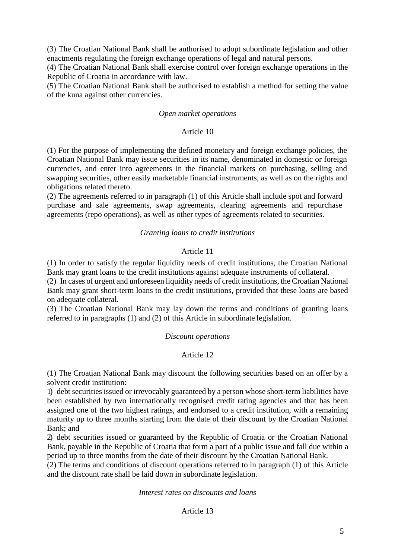(3) The Croatian National Bank shall be authorised to adopt subordinate legislation and other enactments regulating the foreign exchange operations of legal and natural persons.

(4) The Croatian National Bank shall exercise control over foreign exchange operations in the Republic of Croatia in accordance with law.

(5) The Croatian National Bank shall be authorised to establish a method for setting the value of the kuna against other currencies.

# *Open market operations*

### Article 10

(1) For the purpose of implementing the defined monetary and foreign exchange policies, the Croatian National Bank may issue securities in its name, denominated in domestic or foreign currencies, and enter into agreements in the financial markets on purchasing, selling and swapping securities, other easily marketable financial instruments, as well as on the rights and obligations related thereto.

(2) The agreements referred to in paragraph (1) of this Article shall include spot and forward purchase and sale agreements, swap agreements, clearing agreements and repurchase agreements (repo operations), as well as other types of agreements related to securities.

### *Granting loans to credit institutions*

# Article 11

(1) In order to satisfy the regular liquidity needs of credit institutions, the Croatian National Bank may grant loans to the credit institutions against adequate instruments of collateral.

(2) In cases of urgent and unforeseen liquidity needs of credit institutions, the Croatian National Bank may grant short-term loans to the credit institutions, provided that these loans are based on adequate collateral.

(3) The Croatian National Bank may lay down the terms and conditions of granting loans referred to in paragraphs (1) and (2) of this Article in subordinate legislation.

#### *Discount operations*

# Article 12

(1) The Croatian National Bank may discount the following securities based on an offer by a solvent credit institution:

1) debt securities issued or irrevocably guaranteed by a person whose short-term liabilities have been established by two internationally recognised credit rating agencies and that has been assigned one of the two highest ratings, and endorsed to a credit institution, with a remaining maturity up to three months starting from the date of their discount by the Croatian National Bank; and

2) debt securities issued or guaranteed by the Republic of Croatia or the Croatian National Bank, payable in the Republic of Croatia that form a part of a public issue and fall due within a period up to three months from the date of their discount by the Croatian National Bank.

(2) The terms and conditions of discount operations referred to in paragraph (1) of this Article and the discount rate shall be laid down in subordinate legislation.

#### *Interest rates on discounts and loans*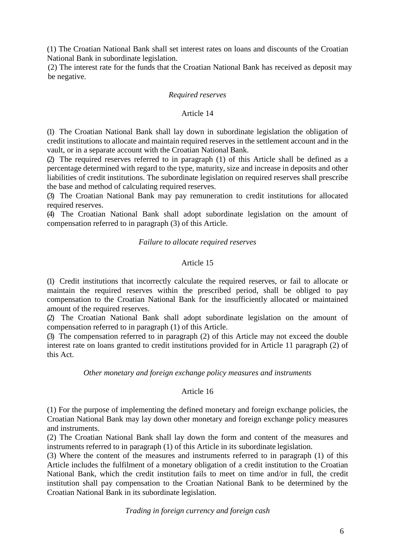(1) The Croatian National Bank shall set interest rates on loans and discounts of the Croatian National Bank in subordinate legislation.

(2) The interest rate for the funds that the Croatian National Bank has received as deposit may be negative.

### *Required reserves*

# Article 14

(1) The Croatian National Bank shall lay down in subordinate legislation the obligation of credit institutions to allocate and maintain required reserves in the settlement account and in the vault, or in a separate account with the Croatian National Bank.

(2) The required reserves referred to in paragraph (1) of this Article shall be defined as a percentage determined with regard to the type, maturity, size and increase in deposits and other liabilities of credit institutions. The subordinate legislation on required reserves shall prescribe the base and method of calculating required reserves.

(3) The Croatian National Bank may pay remuneration to credit institutions for allocated required reserves.

(4) The Croatian National Bank shall adopt subordinate legislation on the amount of compensation referred to in paragraph (3) of this Article.

### *Failure to allocate required reserves*

# Article 15

(1) Credit institutions that incorrectly calculate the required reserves, or fail to allocate or maintain the required reserves within the prescribed period, shall be obliged to pay compensation to the Croatian National Bank for the insufficiently allocated or maintained amount of the required reserves.

(2) The Croatian National Bank shall adopt subordinate legislation on the amount of compensation referred to in paragraph (1) of this Article.

(3) The compensation referred to in paragraph (2) of this Article may not exceed the double interest rate on loans granted to credit institutions provided for in Article 11 paragraph (2) of this Act.

#### *Other monetary and foreign exchange policy measures and instruments*

# Article 16

(1) For the purpose of implementing the defined monetary and foreign exchange policies, the Croatian National Bank may lay down other monetary and foreign exchange policy measures and instruments.

(2) The Croatian National Bank shall lay down the form and content of the measures and instruments referred to in paragraph (1) of this Article in its subordinate legislation.

(3) Where the content of the measures and instruments referred to in paragraph (1) of this Article includes the fulfilment of a monetary obligation of a credit institution to the Croatian National Bank, which the credit institution fails to meet on time and/or in full, the credit institution shall pay compensation to the Croatian National Bank to be determined by the Croatian National Bank in its subordinate legislation.

*Trading in foreign currency and foreign cash*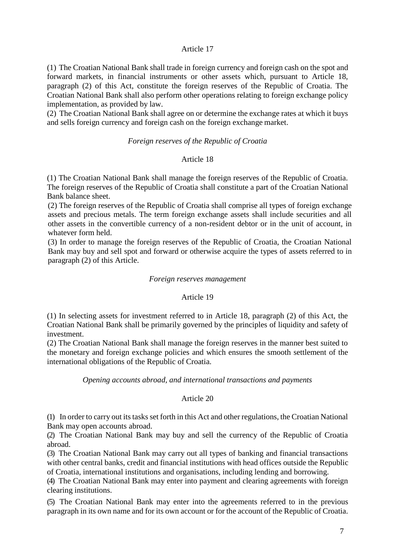# Article 17

(1) The Croatian National Bank shall trade in foreign currency and foreign cash on the spot and forward markets, in financial instruments or other assets which, pursuant to Article 18, paragraph (2) of this Act, constitute the foreign reserves of the Republic of Croatia. The Croatian National Bank shall also perform other operations relating to foreign exchange policy implementation, as provided by law.

(2) The Croatian National Bank shall agree on or determine the exchange rates at which it buys and sells foreign currency and foreign cash on the foreign exchange market.

### *Foreign reserves of the Republic of Croatia*

# Article 18

(1) The Croatian National Bank shall manage the foreign reserves of the Republic of Croatia. The foreign reserves of the Republic of Croatia shall constitute a part of the Croatian National Bank balance sheet.

(2) The foreign reserves of the Republic of Croatia shall comprise all types of foreign exchange assets and precious metals. The term foreign exchange assets shall include securities and all other assets in the convertible currency of a non-resident debtor or in the unit of account, in whatever form held.

(3) In order to manage the foreign reserves of the Republic of Croatia, the Croatian National Bank may buy and sell spot and forward or otherwise acquire the types of assets referred to in paragraph (2) of this Article.

#### *Foreign reserves management*

# Article 19

(1) In selecting assets for investment referred to in Article 18, paragraph (2) of this Act, the Croatian National Bank shall be primarily governed by the principles of liquidity and safety of investment.

(2) The Croatian National Bank shall manage the foreign reserves in the manner best suited to the monetary and foreign exchange policies and which ensures the smooth settlement of the international obligations of the Republic of Croatia.

# *Opening accounts abroad, and international transactions and payments*

# Article 20

(1) In order to carry out its tasks set forth in this Act and other regulations, the Croatian National Bank may open accounts abroad.

(2) The Croatian National Bank may buy and sell the currency of the Republic of Croatia abroad.

(3) The Croatian National Bank may carry out all types of banking and financial transactions with other central banks, credit and financial institutions with head offices outside the Republic of Croatia, international institutions and organisations, including lending and borrowing.

(4) The Croatian National Bank may enter into payment and clearing agreements with foreign clearing institutions.

(5) The Croatian National Bank may enter into the agreements referred to in the previous paragraph in its own name and for its own account or for the account of the Republic of Croatia.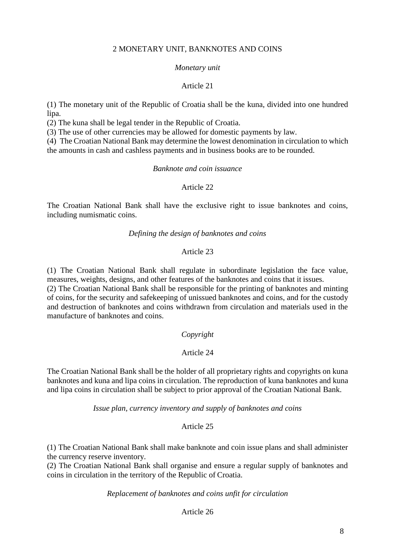# 2 MONETARY UNIT, BANKNOTES AND COINS

#### *Monetary unit*

#### Article 21

(1) The monetary unit of the Republic of Croatia shall be the kuna, divided into one hundred lipa.

(2) The kuna shall be legal tender in the Republic of Croatia.

(3) The use of other currencies may be allowed for domestic payments by law.

(4) The Croatian National Bank may determine the lowest denomination in circulation to which the amounts in cash and cashless payments and in business books are to be rounded.

#### *Banknote and coin issuance*

# Article 22

The Croatian National Bank shall have the exclusive right to issue banknotes and coins, including numismatic coins.

#### *Defining the design of banknotes and coins*

# Article 23

(1) The Croatian National Bank shall regulate in subordinate legislation the face value, measures, weights, designs, and other features of the banknotes and coins that it issues.

(2) The Croatian National Bank shall be responsible for the printing of banknotes and minting of coins, for the security and safekeeping of unissued banknotes and coins, and for the custody and destruction of banknotes and coins withdrawn from circulation and materials used in the manufacture of banknotes and coins.

### *Copyright*

# Article 24

The Croatian National Bank shall be the holder of all proprietary rights and copyrights on kuna banknotes and kuna and lipa coins in circulation. The reproduction of kuna banknotes and kuna and lipa coins in circulation shall be subject to prior approval of the Croatian National Bank.

*Issue plan, currency inventory and supply of banknotes and coins*

### Article 25

(1) The Croatian National Bank shall make banknote and coin issue plans and shall administer the currency reserve inventory.

(2) The Croatian National Bank shall organise and ensure a regular supply of banknotes and coins in circulation in the territory of the Republic of Croatia.

### *Replacement of banknotes and coins unfit for circulation*

Article 26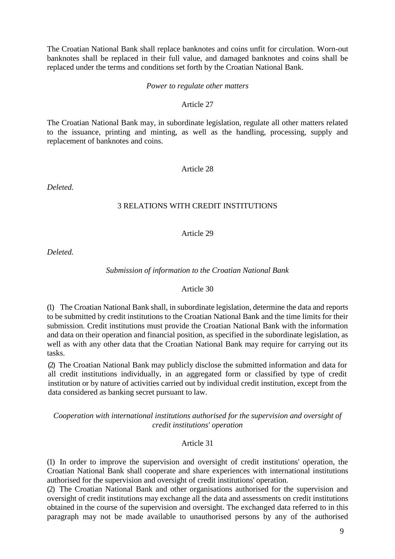The Croatian National Bank shall replace banknotes and coins unfit for circulation. Worn-out banknotes shall be replaced in their full value, and damaged banknotes and coins shall be replaced under the terms and conditions set forth by the Croatian National Bank.

### *Power to regulate other matters*

### Article 27

The Croatian National Bank may, in subordinate legislation, regulate all other matters related to the issuance, printing and minting, as well as the handling, processing, supply and replacement of banknotes and coins.

# Article 28

*Deleted.*

# 3 RELATIONS WITH CREDIT INSTITUTIONS

# Article 29

*Deleted.*

# *Submission of information to the Croatian National Bank*

# Article 30

(1) The Croatian National Bank shall, in subordinate legislation, determine the data and reports to be submitted by credit institutions to the Croatian National Bank and the time limits for their submission. Credit institutions must provide the Croatian National Bank with the information and data on their operation and financial position, as specified in the subordinate legislation, as well as with any other data that the Croatian National Bank may require for carrying out its tasks.

(2) The Croatian National Bank may publicly disclose the submitted information and data for all credit institutions individually, in an aggregated form or classified by type of credit institution or by nature of activities carried out by individual credit institution, except from the data considered as banking secret pursuant to law.

# *Cooperation with international institutions authorised for the supervision and oversight of credit institutions' operation*

# Article 31

(1) In order to improve the supervision and oversight of credit institutions' operation, the Croatian National Bank shall cooperate and share experiences with international institutions authorised for the supervision and oversight of credit institutions' operation.

(2) The Croatian National Bank and other organisations authorised for the supervision and oversight of credit institutions may exchange all the data and assessments on credit institutions obtained in the course of the supervision and oversight. The exchanged data referred to in this paragraph may not be made available to unauthorised persons by any of the authorised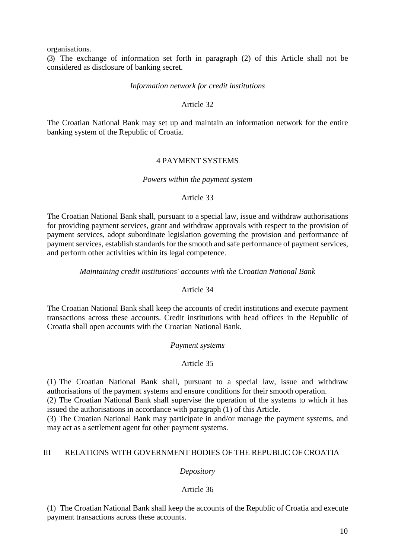organisations.

(3) The exchange of information set forth in paragraph (2) of this Article shall not be considered as disclosure of banking secret.

# *Information network for credit institutions*

# Article 32

The Croatian National Bank may set up and maintain an information network for the entire banking system of the Republic of Croatia.

# 4 PAYMENT SYSTEMS

### *Powers within the payment system*

### Article 33

The Croatian National Bank shall, pursuant to a special law, issue and withdraw authorisations for providing payment services, grant and withdraw approvals with respect to the provision of payment services, adopt subordinate legislation governing the provision and performance of payment services, establish standards for the smooth and safe performance of payment services, and perform other activities within its legal competence.

# *Maintaining credit institutions' accounts with the Croatian National Bank*

# Article 34

The Croatian National Bank shall keep the accounts of credit institutions and execute payment transactions across these accounts. Credit institutions with head offices in the Republic of Croatia shall open accounts with the Croatian National Bank.

# *Payment systems*

# Article 35

(1) The Croatian National Bank shall, pursuant to a special law, issue and withdraw authorisations of the payment systems and ensure conditions for their smooth operation.

(2) The Croatian National Bank shall supervise the operation of the systems to which it has issued the authorisations in accordance with paragraph (1) of this Article.

(3) The Croatian National Bank may participate in and/or manage the payment systems, and may act as a settlement agent for other payment systems.

# III RELATIONS WITH GOVERNMENT BODIES OF THE REPUBLIC OF CROATIA

# *Depository*

# Article 36

(1) The Croatian National Bank shall keep the accounts of the Republic of Croatia and execute payment transactions across these accounts.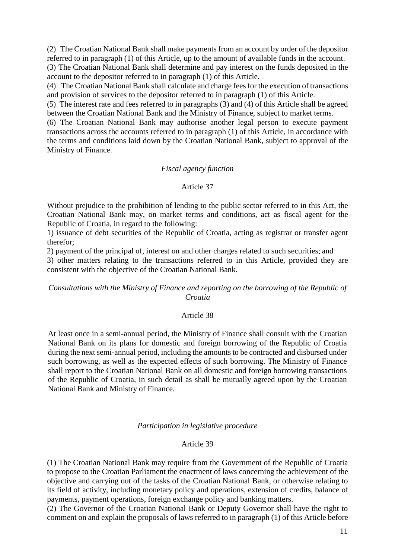(2) The Croatian National Bank shall make payments from an account by order of the depositor referred to in paragraph (1) of this Article, up to the amount of available funds in the account.

(3) The Croatian National Bank shall determine and pay interest on the funds deposited in the account to the depositor referred to in paragraph (1) of this Article.

(4) The Croatian National Bank shall calculate and charge fees for the execution of transactions and provision of services to the depositor referred to in paragraph (1) of this Article.

(5) The interest rate and fees referred to in paragraphs (3) and (4) of this Article shall be agreed between the Croatian National Bank and the Ministry of Finance, subject to market terms.

(6) The Croatian National Bank may authorise another legal person to execute payment transactions across the accounts referred to in paragraph (1) of this Article, in accordance with the terms and conditions laid down by the Croatian National Bank, subject to approval of the Ministry of Finance.

### *Fiscal agency function*

# Article 37

Without prejudice to the prohibition of lending to the public sector referred to in this Act, the Croatian National Bank may, on market terms and conditions, act as fiscal agent for the Republic of Croatia, in regard to the following:

1) issuance of debt securities of the Republic of Croatia, acting as registrar or transfer agent therefor;

2) payment of the principal of, interest on and other charges related to such securities; and

3) other matters relating to the transactions referred to in this Article, provided they are consistent with the objective of the Croatian National Bank.

# *Consultations with the Ministry of Finance and reporting on the borrowing of the Republic of Croatia*

# Article 38

At least once in a semi-annual period, the Ministry of Finance shall consult with the Croatian National Bank on its plans for domestic and foreign borrowing of the Republic of Croatia during the next semi-annual period, including the amounts to be contracted and disbursed under such borrowing, as well as the expected effects of such borrowing. The Ministry of Finance shall report to the Croatian National Bank on all domestic and foreign borrowing transactions of the Republic of Croatia, in such detail as shall be mutually agreed upon by the Croatian National Bank and Ministry of Finance.

# *Participation in legislative procedure*

# Article 39

(1) The Croatian National Bank may require from the Government of the Republic of Croatia to propose to the Croatian Parliament the enactment of laws concerning the achievement of the objective and carrying out of the tasks of the Croatian National Bank, or otherwise relating to its field of activity, including monetary policy and operations, extension of credits, balance of payments, payment operations, foreign exchange policy and banking matters.

(2) The Governor of the Croatian National Bank or Deputy Governor shall have the right to comment on and explain the proposals of laws referred to in paragraph (1) of this Article before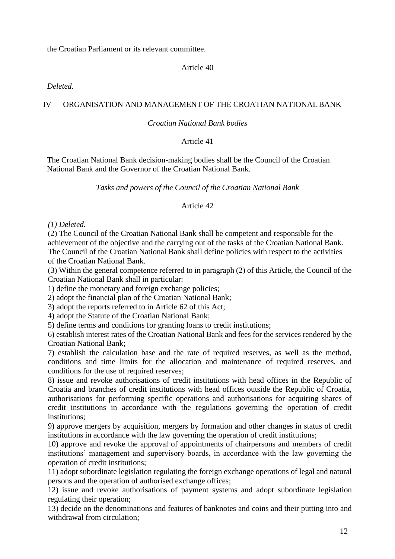the Croatian Parliament or its relevant committee.

# Article 40

# *Deleted.*

# IV ORGANISATION AND MANAGEMENT OF THE CROATIAN NATIONAL BANK

# *Croatian National Bank bodies*

# Article 41

The Croatian National Bank decision-making bodies shall be the Council of the Croatian National Bank and the Governor of the Croatian National Bank.

*Tasks and powers of the Council of the Croatian National Bank*

# Article 42

# *(1) Deleted.*

(2) The Council of the Croatian National Bank shall be competent and responsible for the achievement of the objective and the carrying out of the tasks of the Croatian National Bank. The Council of the Croatian National Bank shall define policies with respect to the activities of the Croatian National Bank.

(3) Within the general competence referred to in paragraph (2) of this Article, the Council of the Croatian National Bank shall in particular:

1) define the monetary and foreign exchange policies;

2) adopt the financial plan of the Croatian National Bank;

3) adopt the reports referred to in Article 62 of this Act;

4) adopt the Statute of the Croatian National Bank;

5) define terms and conditions for granting loans to credit institutions;

6) establish interest rates of the Croatian National Bank and fees for the services rendered by the Croatian National Bank;

7) establish the calculation base and the rate of required reserves, as well as the method, conditions and time limits for the allocation and maintenance of required reserves, and conditions for the use of required reserves;

8) issue and revoke authorisations of credit institutions with head offices in the Republic of Croatia and branches of credit institutions with head offices outside the Republic of Croatia, authorisations for performing specific operations and authorisations for acquiring shares of credit institutions in accordance with the regulations governing the operation of credit institutions;

9) approve mergers by acquisition, mergers by formation and other changes in status of credit institutions in accordance with the law governing the operation of credit institutions;

10) approve and revoke the approval of appointments of chairpersons and members of credit institutions' management and supervisory boards, in accordance with the law governing the operation of credit institutions;

11) adopt subordinate legislation regulating the foreign exchange operations of legal and natural persons and the operation of authorised exchange offices;

12) issue and revoke authorisations of payment systems and adopt subordinate legislation regulating their operation;

13) decide on the denominations and features of banknotes and coins and their putting into and withdrawal from circulation;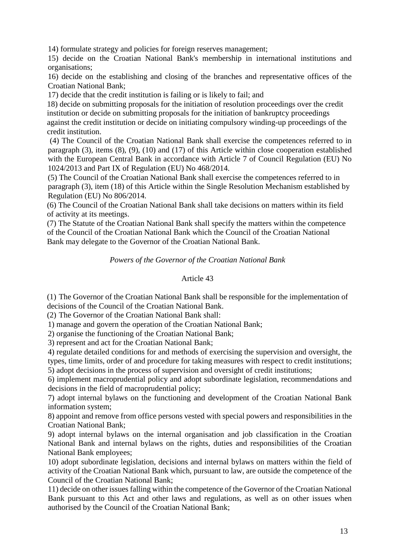14) formulate strategy and policies for foreign reserves management;

15) decide on the Croatian National Bank's membership in international institutions and organisations;

16) decide on the establishing and closing of the branches and representative offices of the Croatian National Bank;

17) decide that the credit institution is failing or is likely to fail; and

18) decide on submitting proposals for the initiation of resolution proceedings over the credit institution or decide on submitting proposals for the initiation of bankruptcy proceedings against the credit institution or decide on initiating compulsory winding-up proceedings of the credit institution.

(4) The Council of the Croatian National Bank shall exercise the competences referred to in paragraph (3), items (8), (9), (10) and (17) of this Article within close cooperation established with the European Central Bank in accordance with Article 7 of Council Regulation (EU) No 1024/2013 and Part IX of Regulation (EU) No 468/2014.

(5) The Council of the Croatian National Bank shall exercise the competences referred to in paragraph (3), item (18) of this Article within the Single Resolution Mechanism established by Regulation (EU) No 806/2014.

(6) The Council of the Croatian National Bank shall take decisions on matters within its field of activity at its meetings.

(7) The Statute of the Croatian National Bank shall specify the matters within the competence of the Council of the Croatian National Bank which the Council of the Croatian National Bank may delegate to the Governor of the Croatian National Bank.

*Powers of the Governor of the Croatian National Bank*

# Article 43

(1) The Governor of the Croatian National Bank shall be responsible for the implementation of decisions of the Council of the Croatian National Bank.

(2) The Governor of the Croatian National Bank shall:

1) manage and govern the operation of the Croatian National Bank;

2) organise the functioning of the Croatian National Bank;

3) represent and act for the Croatian National Bank;

4) regulate detailed conditions for and methods of exercising the supervision and oversight, the types, time limits, order of and procedure for taking measures with respect to credit institutions; 5) adopt decisions in the process of supervision and oversight of credit institutions;

6) implement macroprudential policy and adopt subordinate legislation, recommendations and decisions in the field of macroprudential policy;

7) adopt internal bylaws on the functioning and development of the Croatian National Bank information system;

8) appoint and remove from office persons vested with special powers and responsibilities in the Croatian National Bank;

9) adopt internal bylaws on the internal organisation and job classification in the Croatian National Bank and internal bylaws on the rights, duties and responsibilities of the Croatian National Bank employees;

10) adopt subordinate legislation, decisions and internal bylaws on matters within the field of activity of the Croatian National Bank which, pursuant to law, are outside the competence of the Council of the Croatian National Bank;

11) decide on other issues falling within the competence of the Governor of the Croatian National Bank pursuant to this Act and other laws and regulations, as well as on other issues when authorised by the Council of the Croatian National Bank;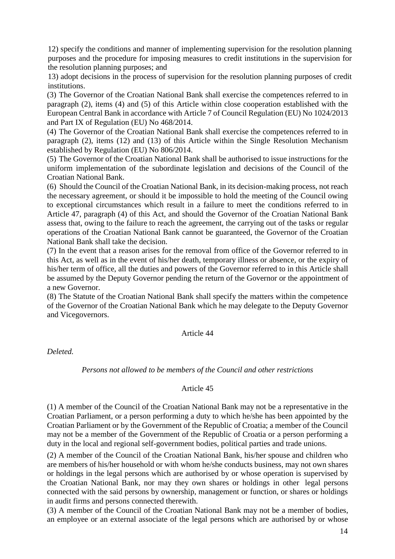12) specify the conditions and manner of implementing supervision for the resolution planning purposes and the procedure for imposing measures to credit institutions in the supervision for the resolution planning purposes; and

13) adopt decisions in the process of supervision for the resolution planning purposes of credit institutions.

(3) The Governor of the Croatian National Bank shall exercise the competences referred to in paragraph (2), items (4) and (5) of this Article within close cooperation established with the European Central Bank in accordance with Article 7 of Council Regulation (EU) No 1024/2013 and Part IX of Regulation (EU) No 468/2014.

(4) The Governor of the Croatian National Bank shall exercise the competences referred to in paragraph (2), items (12) and (13) of this Article within the Single Resolution Mechanism established by Regulation (EU) No 806/2014.

(5) The Governor of the Croatian National Bank shall be authorised to issue instructions for the uniform implementation of the subordinate legislation and decisions of the Council of the Croatian National Bank.

(6) Should the Council of the Croatian National Bank, in its decision-making process, not reach the necessary agreement, or should it be impossible to hold the meeting of the Council owing to exceptional circumstances which result in a failure to meet the conditions referred to in Article 47, paragraph (4) of this Act, and should the Governor of the Croatian National Bank assess that, owing to the failure to reach the agreement, the carrying out of the tasks or regular operations of the Croatian National Bank cannot be guaranteed, the Governor of the Croatian National Bank shall take the decision.

(7) In the event that a reason arises for the removal from office of the Governor referred to in this Act, as well as in the event of his/her death, temporary illness or absence, or the expiry of his/her term of office, all the duties and powers of the Governor referred to in this Article shall be assumed by the Deputy Governor pending the return of the Governor or the appointment of a new Governor.

(8) The Statute of the Croatian National Bank shall specify the matters within the competence of the Governor of the Croatian National Bank which he may delegate to the Deputy Governor and Vicegovernors.

# Article 44

*Deleted.*

# *Persons not allowed to be members of the Council and other restrictions*

# Article 45

(1) A member of the Council of the Croatian National Bank may not be a representative in the Croatian Parliament, or a person performing a duty to which he/she has been appointed by the Croatian Parliament or by the Government of the Republic of Croatia; a member of the Council may not be a member of the Government of the Republic of Croatia or a person performing a duty in the local and regional self-government bodies, political parties and trade unions.

(2) A member of the Council of the Croatian National Bank, his/her spouse and children who are members of his/her household or with whom he/she conducts business, may not own shares or holdings in the legal persons which are authorised by or whose operation is supervised by the Croatian National Bank, nor may they own shares or holdings in other legal persons connected with the said persons by ownership, management or function, or shares or holdings in audit firms and persons connected therewith.

(3) A member of the Council of the Croatian National Bank may not be a member of bodies, an employee or an external associate of the legal persons which are authorised by or whose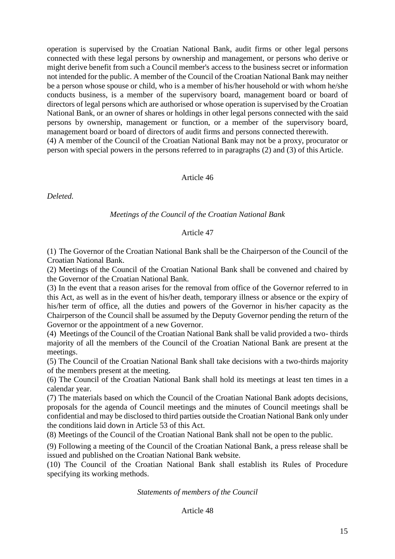operation is supervised by the Croatian National Bank, audit firms or other legal persons connected with these legal persons by ownership and management, or persons who derive or might derive benefit from such a Council member's access to the business secret or information not intended for the public. A member of the Council of the Croatian National Bank may neither be a person whose spouse or child, who is a member of his/her household or with whom he/she conducts business, is a member of the supervisory board, management board or board of directors of legal persons which are authorised or whose operation is supervised by the Croatian National Bank, or an owner of shares or holdings in other legal persons connected with the said persons by ownership, management or function, or a member of the supervisory board, management board or board of directors of audit firms and persons connected therewith. (4) A member of the Council of the Croatian National Bank may not be a proxy, procurator or person with special powers in the persons referred to in paragraphs (2) and (3) of thisArticle.

# Article 46

*Deleted.*

# *Meetings of the Council of the Croatian National Bank*

### Article 47

(1) The Governor of the Croatian National Bank shall be the Chairperson of the Council of the Croatian National Bank.

(2) Meetings of the Council of the Croatian National Bank shall be convened and chaired by the Governor of the Croatian National Bank.

(3) In the event that a reason arises for the removal from office of the Governor referred to in this Act, as well as in the event of his/her death, temporary illness or absence or the expiry of his/her term of office, all the duties and powers of the Governor in his/her capacity as the Chairperson of the Council shall be assumed by the Deputy Governor pending the return of the Governor or the appointment of a new Governor.

(4) Meetings of the Council of the Croatian National Bank shall be valid provided a two- thirds majority of all the members of the Council of the Croatian National Bank are present at the meetings.

(5) The Council of the Croatian National Bank shall take decisions with a two-thirds majority of the members present at the meeting.

(6) The Council of the Croatian National Bank shall hold its meetings at least ten times in a calendar year.

(7) The materials based on which the Council of the Croatian National Bank adopts decisions, proposals for the agenda of Council meetings and the minutes of Council meetings shall be confidential and may be disclosed to third parties outside the Croatian National Bank only under the conditions laid down in Article 53 of this Act.

(8) Meetings of the Council of the Croatian National Bank shall not be open to the public.

(9) Following a meeting of the Council of the Croatian National Bank, a press release shall be issued and published on the Croatian National Bank website.

(10) The Council of the Croatian National Bank shall establish its Rules of Procedure specifying its working methods.

### *Statements of members of the Council*

Article 48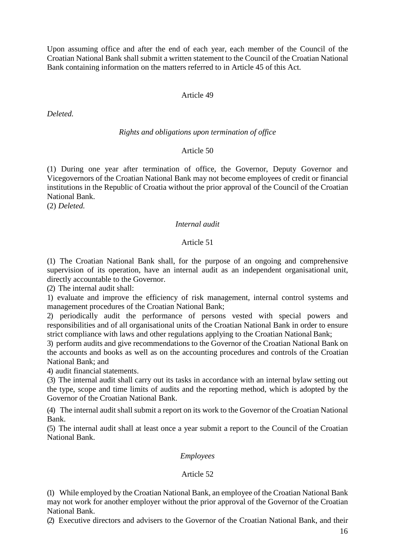Upon assuming office and after the end of each year, each member of the Council of the Croatian National Bank shall submit a written statement to the Council of the Croatian National Bank containing information on the matters referred to in Article 45 of this Act.

# Article 49

*Deleted.*

### *Rights and obligations upon termination of office*

# Article 50

(1) During one year after termination of office, the Governor, Deputy Governor and Vicegovernors of the Croatian National Bank may not become employees of credit or financial institutions in the Republic of Croatia without the prior approval of the Council of the Croatian National Bank.

(2) *Deleted.*

# *Internal audit*

# Article 51

(1) The Croatian National Bank shall, for the purpose of an ongoing and comprehensive supervision of its operation, have an internal audit as an independent organisational unit, directly accountable to the Governor.

(2) The internal audit shall:

1) evaluate and improve the efficiency of risk management, internal control systems and management procedures of the Croatian National Bank;

2) periodically audit the performance of persons vested with special powers and responsibilities and of all organisational units of the Croatian National Bank in order to ensure strict compliance with laws and other regulations applying to the Croatian National Bank;

3) perform audits and give recommendations to the Governor of the Croatian National Bank on the accounts and books as well as on the accounting procedures and controls of the Croatian National Bank; and

4) audit financial statements.

(3) The internal audit shall carry out its tasks in accordance with an internal bylaw setting out the type, scope and time limits of audits and the reporting method, which is adopted by the Governor of the Croatian National Bank.

(4) The internal audit shall submit a report on its work to the Governor of the Croatian National Bank.

(5) The internal audit shall at least once a year submit a report to the Council of the Croatian National Bank.

# *Employees*

# Article 52

(1) While employed by the Croatian National Bank, an employee of the Croatian National Bank may not work for another employer without the prior approval of the Governor of the Croatian National Bank.

(2) Executive directors and advisers to the Governor of the Croatian National Bank, and their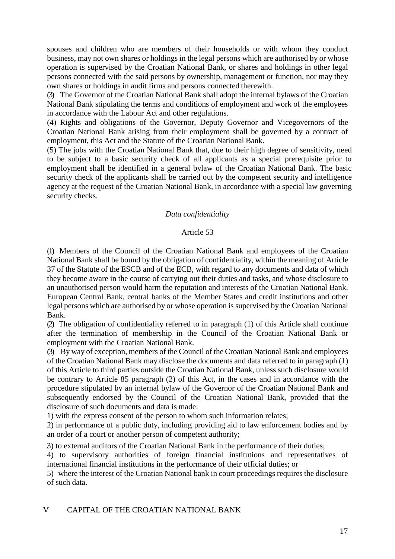spouses and children who are members of their households or with whom they conduct business, may not own shares or holdings in the legal persons which are authorised by or whose operation is supervised by the Croatian National Bank, or shares and holdings in other legal persons connected with the said persons by ownership, management or function, nor may they own shares or holdings in audit firms and persons connected therewith.

(3) The Governor of the Croatian National Bank shall adopt the internal bylaws of the Croatian National Bank stipulating the terms and conditions of employment and work of the employees in accordance with the Labour Act and other regulations.

(4) Rights and obligations of the Governor, Deputy Governor and Vicegovernors of the Croatian National Bank arising from their employment shall be governed by a contract of employment, this Act and the Statute of the Croatian National Bank.

(5) The jobs with the Croatian National Bank that, due to their high degree of sensitivity, need to be subject to a basic security check of all applicants as a special prerequisite prior to employment shall be identified in a general bylaw of the Croatian National Bank. The basic security check of the applicants shall be carried out by the competent security and intelligence agency at the request of the Croatian National Bank, in accordance with a special law governing security checks.

# *Data confidentiality*

# Article 53

(1) Members of the Council of the Croatian National Bank and employees of the Croatian National Bank shall be bound by the obligation of confidentiality, within the meaning of Article 37 of the Statute of the ESCB and of the ECB, with regard to any documents and data of which they become aware in the course of carrying out their duties and tasks, and whose disclosure to an unauthorised person would harm the reputation and interests of the Croatian National Bank, European Central Bank, central banks of the Member States and credit institutions and other legal persons which are authorised by or whose operation is supervised by the Croatian National Bank.

(2) The obligation of confidentiality referred to in paragraph (1) of this Article shall continue after the termination of membership in the Council of the Croatian National Bank or employment with the Croatian National Bank.

(3) By way of exception, members of the Council of the Croatian National Bank and employees of the Croatian National Bank may disclose the documents and data referred to in paragraph (1) of this Article to third parties outside the Croatian National Bank, unless such disclosure would be contrary to Article 85 paragraph (2) of this Act, in the cases and in accordance with the procedure stipulated by an internal bylaw of the Governor of the Croatian National Bank and subsequently endorsed by the Council of the Croatian National Bank, provided that the disclosure of such documents and data is made:

1) with the express consent of the person to whom such information relates;

2) in performance of a public duty, including providing aid to law enforcement bodies and by an order of a court or another person of competent authority;

3) to external auditors of the Croatian National Bank in the performance of their duties;

4) to supervisory authorities of foreign financial institutions and representatives of international financial institutions in the performance of their official duties; or

5) where the interest of the Croatian National bank in court proceedings requires the disclosure of such data.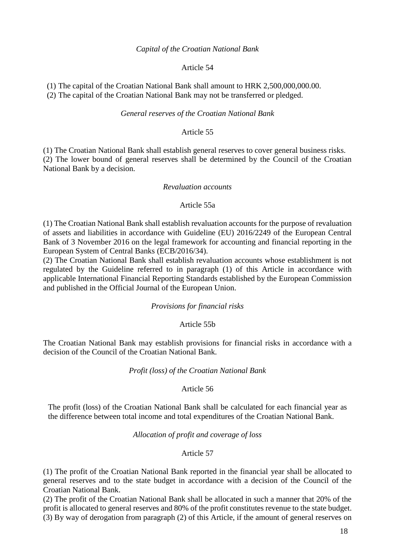### *Capital of the Croatian National Bank*

### Article 54

(1) The capital of the Croatian National Bank shall amount to HRK 2,500,000,000.00.

(2) The capital of the Croatian National Bank may not be transferred or pledged.

### *General reserves of the Croatian National Bank*

# Article 55

(1) The Croatian National Bank shall establish general reserves to cover general business risks. (2) The lower bound of general reserves shall be determined by the Council of the Croatian National Bank by a decision.

#### *Revaluation accounts*

### Article 55a

(1) The Croatian National Bank shall establish revaluation accounts for the purpose of revaluation of assets and liabilities in accordance with Guideline (EU) 2016/2249 of the European Central Bank of 3 November 2016 on the legal framework for accounting and financial reporting in the European System of Central Banks (ECB/2016/34).

(2) The Croatian National Bank shall establish revaluation accounts whose establishment is not regulated by the Guideline referred to in paragraph (1) of this Article in accordance with applicable International Financial Reporting Standards established by the European Commission and published in the Official Journal of the European Union.

# *Provisions for financial risks*

# Article 55b

The Croatian National Bank may establish provisions for financial risks in accordance with a decision of the Council of the Croatian National Bank.

#### *Profit (loss) of the Croatian National Bank*

# Article 56

The profit (loss) of the Croatian National Bank shall be calculated for each financial year as the difference between total income and total expenditures of the Croatian National Bank.

#### *Allocation of profit and coverage of loss*

# Article 57

(1) The profit of the Croatian National Bank reported in the financial year shall be allocated to general reserves and to the state budget in accordance with a decision of the Council of the Croatian National Bank.

(2) The profit of the Croatian National Bank shall be allocated in such a manner that 20% of the profit is allocated to general reserves and 80% of the profit constitutes revenue to the state budget. (3) By way of derogation from paragraph (2) of this Article, if the amount of general reserves on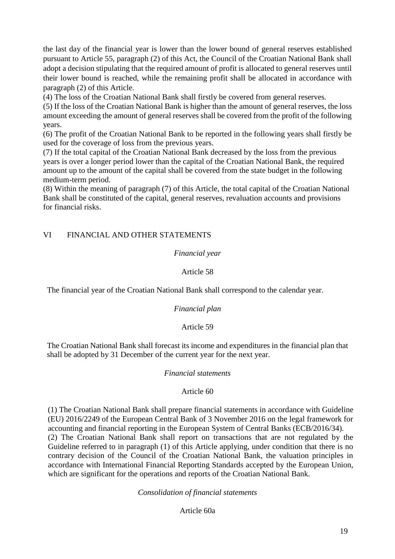the last day of the financial year is lower than the lower bound of general reserves established pursuant to Article 55, paragraph (2) of this Act, the Council of the Croatian National Bank shall adopt a decision stipulating that the required amount of profit is allocated to general reserves until their lower bound is reached, while the remaining profit shall be allocated in accordance with paragraph (2) of this Article.

(4) The loss of the Croatian National Bank shall firstly be covered from general reserves.

(5) If the loss of the Croatian National Bank is higher than the amount of general reserves, the loss amount exceeding the amount of general reserves shall be covered from the profit of the following years.

(6) The profit of the Croatian National Bank to be reported in the following years shall firstly be used for the coverage of loss from the previous years.

(7) If the total capital of the Croatian National Bank decreased by the loss from the previous years is over a longer period lower than the capital of the Croatian National Bank, the required amount up to the amount of the capital shall be covered from the state budget in the following medium-term period.

(8) Within the meaning of paragraph (7) of this Article, the total capital of the Croatian National Bank shall be constituted of the capital, general reserves, revaluation accounts and provisions for financial risks.

# VI FINANCIAL AND OTHER STATEMENTS

### *Financial year*

# Article 58

The financial year of the Croatian National Bank shall correspond to the calendar year.

# *Financial plan*

# Article 59

The Croatian National Bank shall forecast its income and expenditures in the financial plan that shall be adopted by 31 December of the current year for the next year.

# *Financial statements*

# Article 60

(1) The Croatian National Bank shall prepare financial statements in accordance with Guideline (EU) 2016/2249 of the European Central Bank of 3 November 2016 on the legal framework for accounting and financial reporting in the European System of Central Banks (ECB/2016/34).

(2) The Croatian National Bank shall report on transactions that are not regulated by the Guideline referred to in paragraph (1) of this Article applying, under condition that there is no contrary decision of the Council of the Croatian National Bank, the valuation principles in accordance with International Financial Reporting Standards accepted by the European Union, which are significant for the operations and reports of the Croatian National Bank.

*Consolidation of financial statements*

Article 60a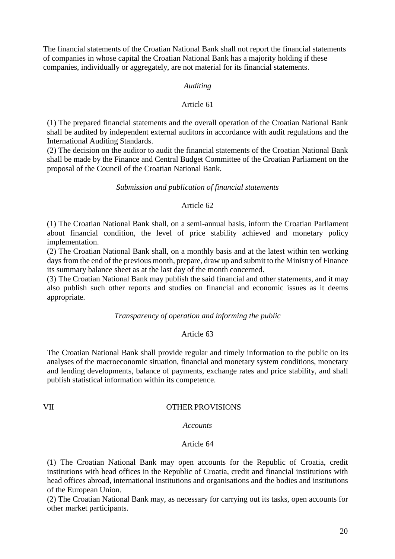The financial statements of the Croatian National Bank shall not report the financial statements of companies in whose capital the Croatian National Bank has a majority holding if these companies, individually or aggregately, are not material for its financial statements.

# *Auditing*

# Article 61

(1) The prepared financial statements and the overall operation of the Croatian National Bank shall be audited by independent external auditors in accordance with audit regulations and the International Auditing Standards.

(2) The decision on the auditor to audit the financial statements of the Croatian National Bank shall be made by the Finance and Central Budget Committee of the Croatian Parliament on the proposal of the Council of the Croatian National Bank.

### *Submission and publication of financial statements*

# Article 62

(1) The Croatian National Bank shall, on a semi-annual basis, inform the Croatian Parliament about financial condition, the level of price stability achieved and monetary policy implementation.

(2) The Croatian National Bank shall, on a monthly basis and at the latest within ten working days from the end of the previous month, prepare, draw up and submit to the Ministry of Finance its summary balance sheet as at the last day of the month concerned.

(3) The Croatian National Bank may publish the said financial and other statements, and it may also publish such other reports and studies on financial and economic issues as it deems appropriate.

# *Transparency of operation and informing the public*

# Article 63

The Croatian National Bank shall provide regular and timely information to the public on its analyses of the macroeconomic situation, financial and monetary system conditions, monetary and lending developments, balance of payments, exchange rates and price stability, and shall publish statistical information within its competence.

# VII OTHER PROVISIONS

#### *Accounts*

#### Article 64

(1) The Croatian National Bank may open accounts for the Republic of Croatia, credit institutions with head offices in the Republic of Croatia, credit and financial institutions with head offices abroad, international institutions and organisations and the bodies and institutions of the European Union.

(2) The Croatian National Bank may, as necessary for carrying out its tasks, open accounts for other market participants.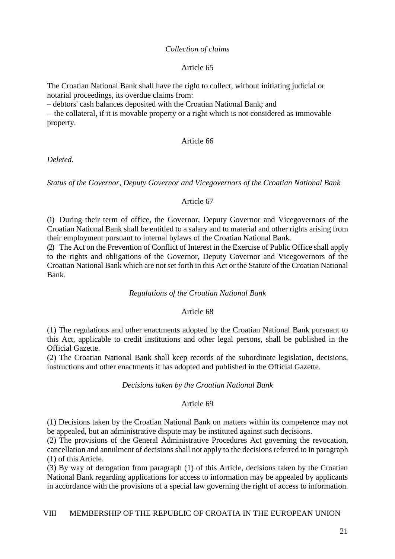# *Collection of claims*

# Article 65

The Croatian National Bank shall have the right to collect, without initiating judicial or notarial proceedings, its overdue claims from:

– debtors' cash balances deposited with the Croatian National Bank; and

– the collateral, if it is movable property or a right which is not considered as immovable property.

# Article 66

*Deleted.*

*Status of the Governor, Deputy Governor and Vicegovernors of the Croatian National Bank*

# Article 67

(1) During their term of office, the Governor, Deputy Governor and Vicegovernors of the Croatian National Bank shall be entitled to a salary and to material and other rights arising from their employment pursuant to internal bylaws of the Croatian National Bank.

(2) The Act on the Prevention of Conflict of Interest in the Exercise of Public Office shall apply to the rights and obligations of the Governor, Deputy Governor and Vicegovernors of the Croatian National Bank which are not set forth in this Act or the Statute of the Croatian National Bank.

# *Regulations of the Croatian National Bank*

# Article 68

(1) The regulations and other enactments adopted by the Croatian National Bank pursuant to this Act, applicable to credit institutions and other legal persons, shall be published in the Official Gazette.

(2) The Croatian National Bank shall keep records of the subordinate legislation, decisions, instructions and other enactments it has adopted and published in the Official Gazette.

# *Decisions taken by the Croatian National Bank*

# Article 69

(1) Decisions taken by the Croatian National Bank on matters within its competence may not be appealed, but an administrative dispute may be instituted against such decisions.

(2) The provisions of the General Administrative Procedures Act governing the revocation, cancellation and annulment of decisions shall not apply to the decisions referred to in paragraph (1) of this Article.

(3) By way of derogation from paragraph (1) of this Article, decisions taken by the Croatian National Bank regarding applications for access to information may be appealed by applicants in accordance with the provisions of a special law governing the right of access to information.

# VIII MEMBERSHIP OF THE REPUBLIC OF CROATIA IN THE EUROPEAN UNION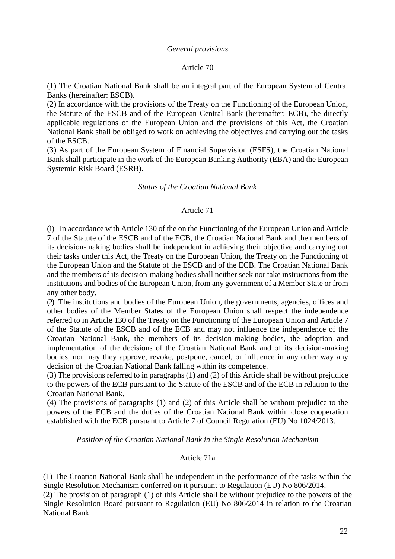### *General provisions*

### Article 70

(1) The Croatian National Bank shall be an integral part of the European System of Central Banks (hereinafter: ESCB).

(2) In accordance with the provisions of the Treaty on the Functioning of the European Union, the Statute of the ESCB and of the European Central Bank (hereinafter: ECB), the directly applicable regulations of the European Union and the provisions of this Act, the Croatian National Bank shall be obliged to work on achieving the objectives and carrying out the tasks of the ESCB.

(3) As part of the European System of Financial Supervision (ESFS), the Croatian National Bank shall participate in the work of the European Banking Authority (EBA) and the European Systemic Risk Board (ESRB).

### *Status of the Croatian National Bank*

### Article 71

(1) In accordance with Article 130 of the on the Functioning of the European Union and Article 7 of the Statute of the ESCB and of the ECB, the Croatian National Bank and the members of its decision-making bodies shall be independent in achieving their objective and carrying out their tasks under this Act, the Treaty on the European Union, the Treaty on the Functioning of the European Union and the Statute of the ESCB and of the ECB. The Croatian National Bank and the members of its decision-making bodies shall neither seek nor take instructions from the institutions and bodies of the European Union, from any government of a Member State or from any other body.

(2) The institutions and bodies of the European Union, the governments, agencies, offices and other bodies of the Member States of the European Union shall respect the independence referred to in Article 130 of the Treaty on the Functioning of the European Union and Article 7 of the Statute of the ESCB and of the ECB and may not influence the independence of the Croatian National Bank, the members of its decision-making bodies, the adoption and implementation of the decisions of the Croatian National Bank and of its decision-making bodies, nor may they approve, revoke, postpone, cancel, or influence in any other way any decision of the Croatian National Bank falling within its competence.

(3) The provisions referred to in paragraphs (1) and (2) of this Article shall be without prejudice to the powers of the ECB pursuant to the Statute of the ESCB and of the ECB in relation to the Croatian National Bank.

(4) The provisions of paragraphs (1) and (2) of this Article shall be without prejudice to the powers of the ECB and the duties of the Croatian National Bank within close cooperation established with the ECB pursuant to Article 7 of Council Regulation (EU) No 1024/2013.

*Position of the Croatian National Bank in the Single Resolution Mechanism*

# Article 71a

(1) The Croatian National Bank shall be independent in the performance of the tasks within the Single Resolution Mechanism conferred on it pursuant to Regulation (EU) No 806/2014.

(2) The provision of paragraph (1) of this Article shall be without prejudice to the powers of the Single Resolution Board pursuant to Regulation (EU) No 806/2014 in relation to the Croatian National Bank.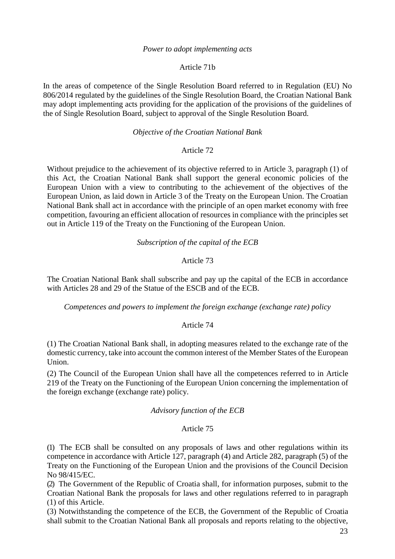### *Power to adopt implementing acts*

### Article 71b

In the areas of competence of the Single Resolution Board referred to in Regulation (EU) No 806/2014 regulated by the guidelines of the Single Resolution Board, the Croatian National Bank may adopt implementing acts providing for the application of the provisions of the guidelines of the of Single Resolution Board, subject to approval of the Single Resolution Board.

# *Objective of the Croatian National Bank*

# Article 72

Without prejudice to the achievement of its objective referred to in Article 3, paragraph (1) of this Act, the Croatian National Bank shall support the general economic policies of the European Union with a view to contributing to the achievement of the objectives of the European Union, as laid down in Article 3 of the Treaty on the European Union. The Croatian National Bank shall act in accordance with the principle of an open market economy with free competition, favouring an efficient allocation of resources in compliance with the principles set out in Article 119 of the Treaty on the Functioning of the European Union.

### *Subscription of the capital of the ECB*

# Article 73

The Croatian National Bank shall subscribe and pay up the capital of the ECB in accordance with Articles 28 and 29 of the Statue of the ESCB and of the ECB.

*Competences and powers to implement the foreign exchange (exchange rate) policy*

# Article 74

(1) The Croatian National Bank shall, in adopting measures related to the exchange rate of the domestic currency, take into account the common interest of the Member States of the European Union.

(2) The Council of the European Union shall have all the competences referred to in Article 219 of the Treaty on the Functioning of the European Union concerning the implementation of the foreign exchange (exchange rate) policy.

#### *Advisory function of the ECB*

#### Article 75

(1) The ECB shall be consulted on any proposals of laws and other regulations within its competence in accordance with Article 127, paragraph (4) and Article 282, paragraph (5) of the Treaty on the Functioning of the European Union and the provisions of the Council Decision No 98/415/EC.

(2) The Government of the Republic of Croatia shall, for information purposes, submit to the Croatian National Bank the proposals for laws and other regulations referred to in paragraph (1) of this Article.

(3) Notwithstanding the competence of the ECB, the Government of the Republic of Croatia shall submit to the Croatian National Bank all proposals and reports relating to the objective,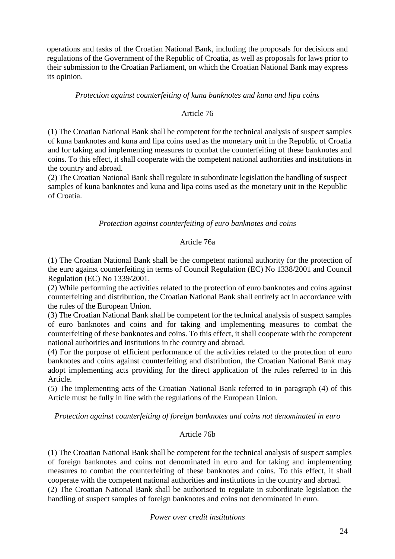operations and tasks of the Croatian National Bank, including the proposals for decisions and regulations of the Government of the Republic of Croatia, as well as proposals for laws prior to their submission to the Croatian Parliament, on which the Croatian National Bank may express its opinion.

# *Protection against counterfeiting of kuna banknotes and kuna and lipa coins*

# Article 76

(1) The Croatian National Bank shall be competent for the technical analysis of suspect samples of kuna banknotes and kuna and lipa coins used as the monetary unit in the Republic of Croatia and for taking and implementing measures to combat the counterfeiting of these banknotes and coins. To this effect, it shall cooperate with the competent national authorities and institutions in the country and abroad.

(2) The Croatian National Bank shall regulate in subordinate legislation the handling of suspect samples of kuna banknotes and kuna and lipa coins used as the monetary unit in the Republic of Croatia.

# *Protection against counterfeiting of euro banknotes and coins*

# Article 76a

(1) The Croatian National Bank shall be the competent national authority for the protection of the euro against counterfeiting in terms of Council Regulation (EC) No 1338/2001 and Council Regulation (EC) No 1339/2001.

(2) While performing the activities related to the protection of euro banknotes and coins against counterfeiting and distribution, the Croatian National Bank shall entirely act in accordance with the rules of the European Union.

(3) The Croatian National Bank shall be competent for the technical analysis of suspect samples of euro banknotes and coins and for taking and implementing measures to combat the counterfeiting of these banknotes and coins. To this effect, it shall cooperate with the competent national authorities and institutions in the country and abroad.

(4) For the purpose of efficient performance of the activities related to the protection of euro banknotes and coins against counterfeiting and distribution, the Croatian National Bank may adopt implementing acts providing for the direct application of the rules referred to in this Article.

(5) The implementing acts of the Croatian National Bank referred to in paragraph (4) of this Article must be fully in line with the regulations of the European Union.

*Protection against counterfeiting of foreign banknotes and coins not denominated in euro*

# Article 76b

(1) The Croatian National Bank shall be competent for the technical analysis of suspect samples of foreign banknotes and coins not denominated in euro and for taking and implementing measures to combat the counterfeiting of these banknotes and coins. To this effect, it shall cooperate with the competent national authorities and institutions in the country and abroad. (2) The Croatian National Bank shall be authorised to regulate in subordinate legislation the handling of suspect samples of foreign banknotes and coins not denominated in euro.

# *Power over credit institutions*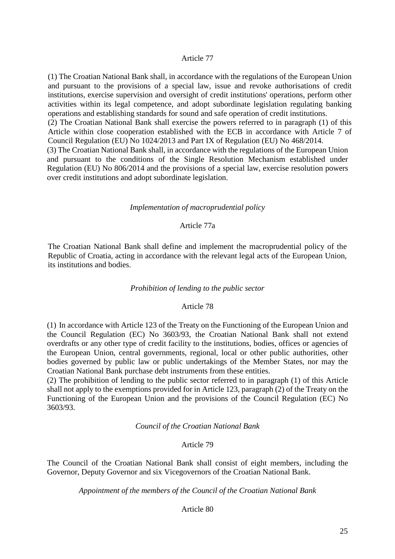# Article 77

(1) The Croatian National Bank shall, in accordance with the regulations of the European Union and pursuant to the provisions of a special law, issue and revoke authorisations of credit institutions, exercise supervision and oversight of credit institutions' operations, perform other activities within its legal competence, and adopt subordinate legislation regulating banking operations and establishing standards for sound and safe operation of credit institutions. (2) The Croatian National Bank shall exercise the powers referred to in paragraph (1) of this Article within close cooperation established with the ECB in accordance with Article 7 of Council Regulation (EU) No 1024/2013 and Part IX of Regulation (EU) No 468/2014. (3) The Croatian National Bank shall, in accordance with the regulations of the European Union and pursuant to the conditions of the Single Resolution Mechanism established under Regulation (EU) No 806/2014 and the provisions of a special law, exercise resolution powers over credit institutions and adopt subordinate legislation.

#### *Implementation of macroprudential policy*

# Article 77a

The Croatian National Bank shall define and implement the macroprudential policy of the Republic of Croatia, acting in accordance with the relevant legal acts of the European Union, its institutions and bodies.

#### *Prohibition of lending to the public sector*

# Article 78

(1) In accordance with Article 123 of the Treaty on the Functioning of the European Union and the Council Regulation (EC) No 3603/93, the Croatian National Bank shall not extend overdrafts or any other type of credit facility to the institutions, bodies, offices or agencies of the European Union, central governments, regional, local or other public authorities, other bodies governed by public law or public undertakings of the Member States, nor may the Croatian National Bank purchase debt instruments from these entities.

(2) The prohibition of lending to the public sector referred to in paragraph (1) of this Article shall not apply to the exemptions provided for in Article 123, paragraph (2) of the Treaty on the Functioning of the European Union and the provisions of the Council Regulation (EC) No 3603/93.

*Council of the Croatian National Bank*

#### Article 79

The Council of the Croatian National Bank shall consist of eight members, including the Governor, Deputy Governor and six Vicegovernors of the Croatian National Bank.

*Appointment of the members of the Council of the Croatian National Bank*

#### Article 80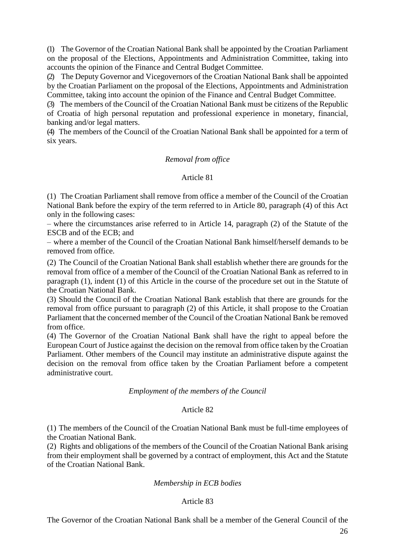(1) The Governor of the Croatian National Bank shall be appointed by the Croatian Parliament on the proposal of the Elections, Appointments and Administration Committee, taking into accounts the opinion of the Finance and Central Budget Committee.

(2) The Deputy Governor and Vicegovernors of the Croatian National Bank shall be appointed by the Croatian Parliament on the proposal of the Elections, Appointments and Administration Committee, taking into account the opinion of the Finance and Central Budget Committee.

(3) The members of the Council of the Croatian National Bank must be citizens of the Republic of Croatia of high personal reputation and professional experience in monetary, financial, banking and/or legal matters.

(4) The members of the Council of the Croatian National Bank shall be appointed for a term of six years.

# *Removal from office*

# Article 81

(1) The Croatian Parliament shall remove from office a member of the Council of the Croatian National Bank before the expiry of the term referred to in Article 80, paragraph (4) of this Act only in the following cases:

– where the circumstances arise referred to in Article 14, paragraph (2) of the Statute of the ESCB and of the ECB; and

– where a member of the Council of the Croatian National Bank himself/herself demands to be removed from office.

(2) The Council of the Croatian National Bank shall establish whether there are grounds for the removal from office of a member of the Council of the Croatian National Bank as referred to in paragraph (1), indent (1) of this Article in the course of the procedure set out in the Statute of the Croatian National Bank.

(3) Should the Council of the Croatian National Bank establish that there are grounds for the removal from office pursuant to paragraph (2) of this Article, it shall propose to the Croatian Parliament that the concerned member of the Council of the Croatian National Bank be removed from office.

(4) The Governor of the Croatian National Bank shall have the right to appeal before the European Court of Justice against the decision on the removal from office taken by the Croatian Parliament. Other members of the Council may institute an administrative dispute against the decision on the removal from office taken by the Croatian Parliament before a competent administrative court.

# *Employment of the members of the Council*

# Article 82

(1) The members of the Council of the Croatian National Bank must be full-time employees of the Croatian National Bank.

(2) Rights and obligations of the members of the Council of the Croatian National Bank arising from their employment shall be governed by a contract of employment, this Act and the Statute of the Croatian National Bank.

# *Membership in ECB bodies*

# Article 83

The Governor of the Croatian National Bank shall be a member of the General Council of the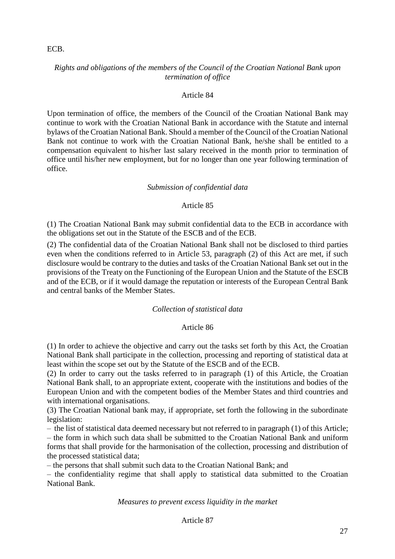ECB.

# *Rights and obligations of the members of the Council of the Croatian National Bank upon termination of office*

# Article 84

Upon termination of office, the members of the Council of the Croatian National Bank may continue to work with the Croatian National Bank in accordance with the Statute and internal bylaws of the Croatian National Bank. Should a member of the Council of the Croatian National Bank not continue to work with the Croatian National Bank, he/she shall be entitled to a compensation equivalent to his/her last salary received in the month prior to termination of office until his/her new employment, but for no longer than one year following termination of office.

# *Submission of confidential data*

# Article 85

(1) The Croatian National Bank may submit confidential data to the ECB in accordance with the obligations set out in the Statute of the ESCB and of the ECB.

(2) The confidential data of the Croatian National Bank shall not be disclosed to third parties even when the conditions referred to in Article 53, paragraph (2) of this Act are met, if such disclosure would be contrary to the duties and tasks of the Croatian National Bank set out in the provisions of the Treaty on the Functioning of the European Union and the Statute of the ESCB and of the ECB, or if it would damage the reputation or interests of the European Central Bank and central banks of the Member States.

# *Collection of statistical data*

# Article 86

(1) In order to achieve the objective and carry out the tasks set forth by this Act, the Croatian National Bank shall participate in the collection, processing and reporting of statistical data at least within the scope set out by the Statute of the ESCB and of the ECB.

(2) In order to carry out the tasks referred to in paragraph (1) of this Article, the Croatian National Bank shall, to an appropriate extent, cooperate with the institutions and bodies of the European Union and with the competent bodies of the Member States and third countries and with international organisations.

(3) The Croatian National bank may, if appropriate, set forth the following in the subordinate legislation:

– the list of statistical data deemed necessary but not referred to in paragraph (1) of this Article; – the form in which such data shall be submitted to the Croatian National Bank and uniform forms that shall provide for the harmonisation of the collection, processing and distribution of the processed statistical data;

– the persons that shall submit such data to the Croatian National Bank; and

– the confidentiality regime that shall apply to statistical data submitted to the Croatian National Bank.

# *Measures to prevent excess liquidity in the market*

Article 87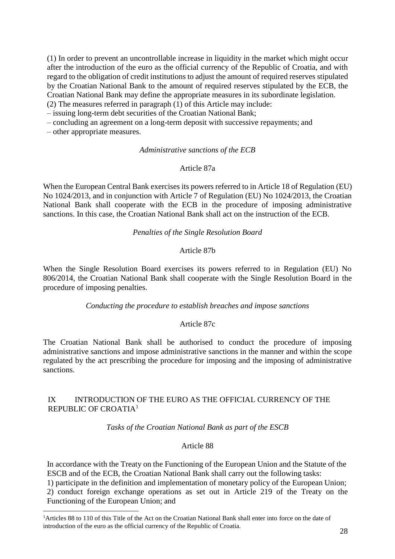(1) In order to prevent an uncontrollable increase in liquidity in the market which might occur after the introduction of the euro as the official currency of the Republic of Croatia, and with regard to the obligation of credit institutions to adjust the amount of required reserves stipulated by the Croatian National Bank to the amount of required reserves stipulated by the ECB, the Croatian National Bank may define the appropriate measures in its subordinate legislation. (2) The measures referred in paragraph (1) of this Article may include:

– issuing long-term debt securities of the Croatian National Bank;

– concluding an agreement on a long-term deposit with successive repayments; and

– other appropriate measures.

 $\overline{a}$ 

### *Administrative sanctions of the ECB*

# Article 87a

When the European Central Bank exercises its powers referred to in Article 18 of Regulation (EU) No 1024/2013, and in conjunction with Article 7 of Regulation (EU) No 1024/2013, the Croatian National Bank shall cooperate with the ECB in the procedure of imposing administrative sanctions. In this case, the Croatian National Bank shall act on the instruction of the ECB.

### *Penalties of the Single Resolution Board*

# Article 87b

When the Single Resolution Board exercises its powers referred to in Regulation (EU) No 806/2014, the Croatian National Bank shall cooperate with the Single Resolution Board in the procedure of imposing penalties.

*Conducting the procedure to establish breaches and impose sanctions*

# Article 87c

The Croatian National Bank shall be authorised to conduct the procedure of imposing administrative sanctions and impose administrative sanctions in the manner and within the scope regulated by the act prescribing the procedure for imposing and the imposing of administrative sanctions.

# IX INTRODUCTION OF THE EURO AS THE OFFICIAL CURRENCY OF THE REPUBLIC OF CROATIA<sup>1</sup>

*Tasks of the Croatian National Bank as part of the ESCB*

#### Article 88

In accordance with the Treaty on the Functioning of the European Union and the Statute of the ESCB and of the ECB, the Croatian National Bank shall carry out the following tasks:

1) participate in the definition and implementation of monetary policy of the European Union; 2) conduct foreign exchange operations as set out in Article 219 of the Treaty on the Functioning of the European Union; and

<sup>&</sup>lt;sup>1</sup>Articles 88 to 110 of this Title of the Act on the Croatian National Bank shall enter into force on the date of introduction of the euro as the official currency of the Republic of Croatia.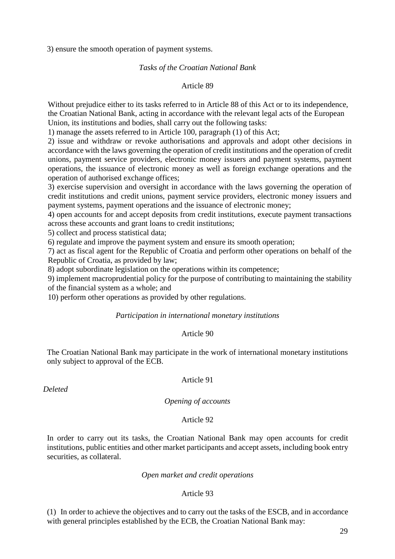3) ensure the smooth operation of payment systems.

### *Tasks of the Croatian National Bank*

# Article 89

Without prejudice either to its tasks referred to in Article 88 of this Act or to its independence, the Croatian National Bank, acting in accordance with the relevant legal acts of the European Union, its institutions and bodies, shall carry out the following tasks:

1) manage the assets referred to in Article 100, paragraph (1) of this Act;

2) issue and withdraw or revoke authorisations and approvals and adopt other decisions in accordance with the laws governing the operation of credit institutions and the operation of credit unions, payment service providers, electronic money issuers and payment systems, payment operations, the issuance of electronic money as well as foreign exchange operations and the operation of authorised exchange offices;

3) exercise supervision and oversight in accordance with the laws governing the operation of credit institutions and credit unions, payment service providers, electronic money issuers and payment systems, payment operations and the issuance of electronic money;

4) open accounts for and accept deposits from credit institutions, execute payment transactions across these accounts and grant loans to credit institutions;

5) collect and process statistical data;

6) regulate and improve the payment system and ensure its smooth operation;

7) act as fiscal agent for the Republic of Croatia and perform other operations on behalf of the Republic of Croatia, as provided by law;

8) adopt subordinate legislation on the operations within its competence;

9) implement macroprudential policy for the purpose of contributing to maintaining the stability of the financial system as a whole; and

10) perform other operations as provided by other regulations.

### *Participation in international monetary institutions*

#### Article 90

The Croatian National Bank may participate in the work of international monetary institutions only subject to approval of the ECB.

*Deleted*

#### Article 91

#### *Opening of accounts*

### Article 92

In order to carry out its tasks, the Croatian National Bank may open accounts for credit institutions, public entities and other market participants and accept assets, including book entry securities, as collateral.

#### *Open market and credit operations*

#### Article 93

(1) In order to achieve the objectives and to carry out the tasks of the ESCB, and in accordance with general principles established by the ECB, the Croatian National Bank may: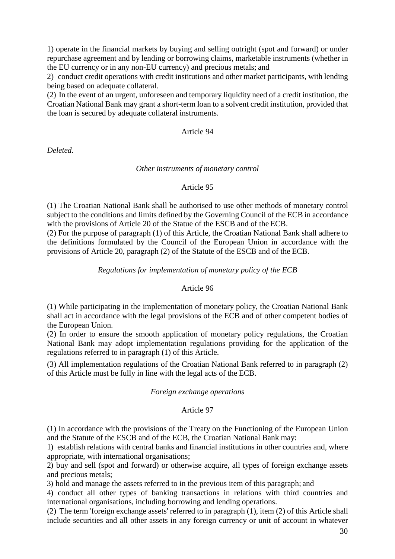1) operate in the financial markets by buying and selling outright (spot and forward) or under repurchase agreement and by lending or borrowing claims, marketable instruments (whether in the EU currency or in any non-EU currency) and precious metals; and

2) conduct credit operations with credit institutions and other market participants, with lending being based on adequate collateral.

(2) In the event of an urgent, unforeseen and temporary liquidity need of a credit institution, the Croatian National Bank may grant a short-term loan to a solvent credit institution, provided that the loan is secured by adequate collateral instruments.

Article 94

*Deleted.*

# *Other instruments of monetary control*

# Article 95

(1) The Croatian National Bank shall be authorised to use other methods of monetary control subject to the conditions and limits defined by the Governing Council of the ECB in accordance with the provisions of Article 20 of the Statue of the ESCB and of the ECB.

(2) For the purpose of paragraph (1) of this Article, the Croatian National Bank shall adhere to the definitions formulated by the Council of the European Union in accordance with the provisions of Article 20, paragraph (2) of the Statute of the ESCB and of the ECB.

# *Regulations for implementation of monetary policy of the ECB*

# Article 96

(1) While participating in the implementation of monetary policy, the Croatian National Bank shall act in accordance with the legal provisions of the ECB and of other competent bodies of the European Union.

(2) In order to ensure the smooth application of monetary policy regulations, the Croatian National Bank may adopt implementation regulations providing for the application of the regulations referred to in paragraph (1) of this Article.

(3) All implementation regulations of the Croatian National Bank referred to in paragraph (2) of this Article must be fully in line with the legal acts of the ECB.

# *Foreign exchange operations*

# Article 97

(1) In accordance with the provisions of the Treaty on the Functioning of the European Union and the Statute of the ESCB and of the ECB, the Croatian National Bank may:

1) establish relations with central banks and financial institutions in other countries and, where appropriate, with international organisations;

2) buy and sell (spot and forward) or otherwise acquire, all types of foreign exchange assets and precious metals;

3) hold and manage the assets referred to in the previous item of this paragraph; and

4) conduct all other types of banking transactions in relations with third countries and international organisations, including borrowing and lending operations.

(2) The term 'foreign exchange assets' referred to in paragraph (1), item (2) of this Article shall include securities and all other assets in any foreign currency or unit of account in whatever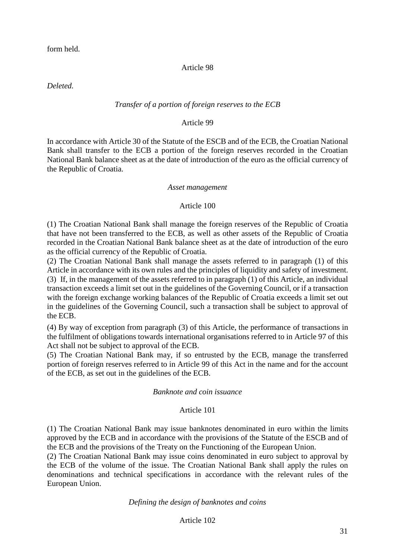form held.

# Article 98

*Deleted.*

# *Transfer of a portion of foreign reserves to the ECB*

# Article 99

In accordance with Article 30 of the Statute of the ESCB and of the ECB, the Croatian National Bank shall transfer to the ECB a portion of the foreign reserves recorded in the Croatian National Bank balance sheet as at the date of introduction of the euro as the official currency of the Republic of Croatia.

### *Asset management*

# Article 100

(1) The Croatian National Bank shall manage the foreign reserves of the Republic of Croatia that have not been transferred to the ECB, as well as other assets of the Republic of Croatia recorded in the Croatian National Bank balance sheet as at the date of introduction of the euro as the official currency of the Republic of Croatia.

(2) The Croatian National Bank shall manage the assets referred to in paragraph (1) of this Article in accordance with its own rules and the principles of liquidity and safety of investment. (3) If, in the management of the assets referred to in paragraph (1) of this Article, an individual transaction exceeds a limit set out in the guidelines of the Governing Council, or if a transaction with the foreign exchange working balances of the Republic of Croatia exceeds a limit set out in the guidelines of the Governing Council, such a transaction shall be subject to approval of the ECB.

(4) By way of exception from paragraph (3) of this Article, the performance of transactions in the fulfilment of obligations towards international organisations referred to in Article 97 of this Act shall not be subject to approval of the ECB.

(5) The Croatian National Bank may, if so entrusted by the ECB, manage the transferred portion of foreign reserves referred to in Article 99 of this Act in the name and for the account of the ECB, as set out in the guidelines of the ECB.

# *Banknote and coin issuance*

# Article 101

(1) The Croatian National Bank may issue banknotes denominated in euro within the limits approved by the ECB and in accordance with the provisions of the Statute of the ESCB and of the ECB and the provisions of the Treaty on the Functioning of the European Union.

(2) The Croatian National Bank may issue coins denominated in euro subject to approval by the ECB of the volume of the issue. The Croatian National Bank shall apply the rules on denominations and technical specifications in accordance with the relevant rules of the European Union.

# *Defining the design of banknotes and coins*

# Article 102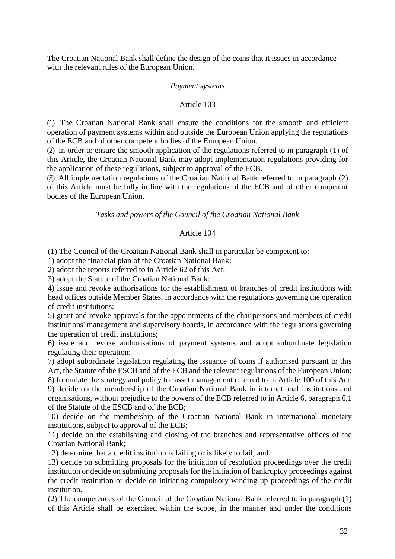The Croatian National Bank shall define the design of the coins that it issues in accordance with the relevant rules of the European Union.

#### *Payment systems*

# Article 103

(1) The Croatian National Bank shall ensure the conditions for the smooth and efficient operation of payment systems within and outside the European Union applying the regulations of the ECB and of other competent bodies of the European Union.

(2) In order to ensure the smooth application of the regulations referred to in paragraph (1) of this Article, the Croatian National Bank may adopt implementation regulations providing for the application of these regulations, subject to approval of the ECB.

(3) All implementation regulations of the Croatian National Bank referred to in paragraph (2) of this Article must be fully in line with the regulations of the ECB and of other competent bodies of the European Union.

### *Tasks and powers of the Council of the Croatian National Bank*

### Article 104

(1) The Council of the Croatian National Bank shall in particular be competent to:

1) adopt the financial plan of the Croatian National Bank;

2) adopt the reports referred to in Article 62 of this Act;

3) adopt the Statute of the Croatian National Bank;

4) issue and revoke authorisations for the establishment of branches of credit institutions with head offices outside Member States, in accordance with the regulations governing the operation of credit institutions;

5) grant and revoke approvals for the appointments of the chairpersons and members of credit institutions' management and supervisory boards, in accordance with the regulations governing the operation of credit institutions;

6) issue and revoke authorisations of payment systems and adopt subordinate legislation regulating their operation;

7) adopt subordinate legislation regulating the issuance of coins if authorised pursuant to this Act, the Statute of the ESCB and of the ECB and the relevant regulations of the European Union; 8) formulate the strategy and policy for asset management referred to in Article 100 of this Act; 9) decide on the membership of the Croatian National Bank in international institutions and organisations, without prejudice to the powers of the ECB referred to in Article 6, paragraph 6.1 of the Statute of the ESCB and of the ECB;

10) decide on the membership of the Croatian National Bank in international monetary institutions, subject to approval of the ECB;

11) decide on the establishing and closing of the branches and representative offices of the Croatian National Bank;

12) determine that a credit institution is failing or is likely to fail; and

13) decide on submitting proposals for the initiation of resolution proceedings over the credit institution or decide on submitting proposals for the initiation of bankruptcy proceedings against the credit institution or decide on initiating compulsory winding-up proceedings of the credit institution.

(2) The competences of the Council of the Croatian National Bank referred to in paragraph (1) of this Article shall be exercised within the scope, in the manner and under the conditions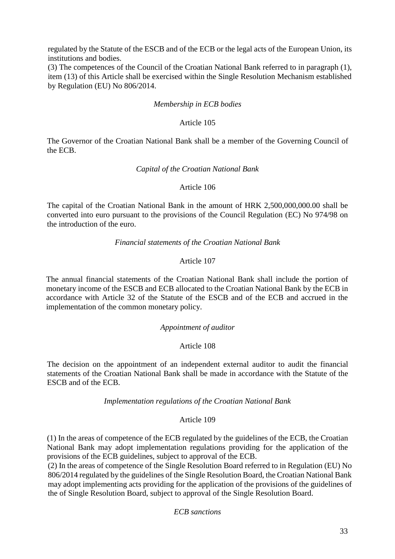regulated by the Statute of the ESCB and of the ECB or the legal acts of the European Union, its institutions and bodies.

(3) The competences of the Council of the Croatian National Bank referred to in paragraph (1), item (13) of this Article shall be exercised within the Single Resolution Mechanism established by Regulation (EU) No 806/2014.

# *Membership in ECB bodies*

### Article 105

The Governor of the Croatian National Bank shall be a member of the Governing Council of the ECB.

### *Capital of the Croatian National Bank*

# Article 106

The capital of the Croatian National Bank in the amount of HRK 2,500,000,000.00 shall be converted into euro pursuant to the provisions of the Council Regulation (EC) No 974/98 on the introduction of the euro.

### *Financial statements of the Croatian National Bank*

# Article 107

The annual financial statements of the Croatian National Bank shall include the portion of monetary income of the ESCB and ECB allocated to the Croatian National Bank by the ECB in accordance with Article 32 of the Statute of the ESCB and of the ECB and accrued in the implementation of the common monetary policy.

#### *Appointment of auditor*

# Article 108

The decision on the appointment of an independent external auditor to audit the financial statements of the Croatian National Bank shall be made in accordance with the Statute of the ESCB and of the ECB.

#### *Implementation regulations of the Croatian National Bank*

### Article 109

(1) In the areas of competence of the ECB regulated by the guidelines of the ECB, the Croatian National Bank may adopt implementation regulations providing for the application of the provisions of the ECB guidelines, subject to approval of the ECB.

(2) In the areas of competence of the Single Resolution Board referred to in Regulation (EU) No 806/2014 regulated by the guidelines of the Single Resolution Board, the Croatian National Bank may adopt implementing acts providing for the application of the provisions of the guidelines of the of Single Resolution Board, subject to approval of the Single Resolution Board.

*ECB sanctions*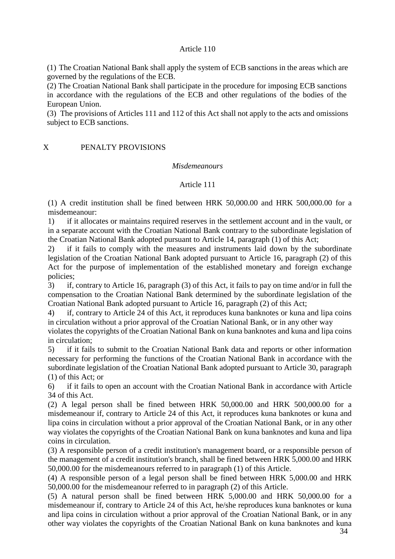# Article 110

(1) The Croatian National Bank shall apply the system of ECB sanctions in the areas which are governed by the regulations of the ECB.

(2) The Croatian National Bank shall participate in the procedure for imposing ECB sanctions in accordance with the regulations of the ECB and other regulations of the bodies of the European Union.

(3) The provisions of Articles 111 and 112 of this Act shall not apply to the acts and omissions subject to ECB sanctions.

# X PENALTY PROVISIONS

#### *Misdemeanours*

### Article 111

(1) A credit institution shall be fined between HRK 50,000.00 and HRK 500,000.00 for a misdemeanour:

1) if it allocates or maintains required reserves in the settlement account and in the vault, or in a separate account with the Croatian National Bank contrary to the subordinate legislation of the Croatian National Bank adopted pursuant to Article 14, paragraph (1) of this Act;

2) if it fails to comply with the measures and instruments laid down by the subordinate legislation of the Croatian National Bank adopted pursuant to Article 16, paragraph (2) of this Act for the purpose of implementation of the established monetary and foreign exchange policies;

3) if, contrary to Article 16, paragraph (3) of this Act, it fails to pay on time and/or in full the compensation to the Croatian National Bank determined by the subordinate legislation of the Croatian National Bank adopted pursuant to Article 16, paragraph (2) of this Act;

4) if, contrary to Article 24 of this Act, it reproduces kuna banknotes or kuna and lipa coins in circulation without a prior approval of the Croatian National Bank, or in any other way

violates the copyrights of the Croatian National Bank on kuna banknotes and kuna and lipa coins in circulation;

5) if it fails to submit to the Croatian National Bank data and reports or other information necessary for performing the functions of the Croatian National Bank in accordance with the subordinate legislation of the Croatian National Bank adopted pursuant to Article 30, paragraph (1) of this Act; or

6) if it fails to open an account with the Croatian National Bank in accordance with Article 34 of this Act.

(2) A legal person shall be fined between HRK 50,000.00 and HRK 500,000.00 for a misdemeanour if, contrary to Article 24 of this Act, it reproduces kuna banknotes or kuna and lipa coins in circulation without a prior approval of the Croatian National Bank, or in any other way violates the copyrights of the Croatian National Bank on kuna banknotes and kuna and lipa coins in circulation.

(3) A responsible person of a credit institution's management board, or a responsible person of the management of a credit institution's branch, shall be fined between HRK 5,000.00 and HRK 50,000.00 for the misdemeanours referred to in paragraph (1) of this Article.

(4) A responsible person of a legal person shall be fined between HRK 5,000.00 and HRK 50,000.00 for the misdemeanour referred to in paragraph (2) of this Article.

(5) A natural person shall be fined between HRK 5,000.00 and HRK 50,000.00 for a misdemeanour if, contrary to Article 24 of this Act, he/she reproduces kuna banknotes or kuna and lipa coins in circulation without a prior approval of the Croatian National Bank, or in any other way violates the copyrights of the Croatian National Bank on kuna banknotes and kuna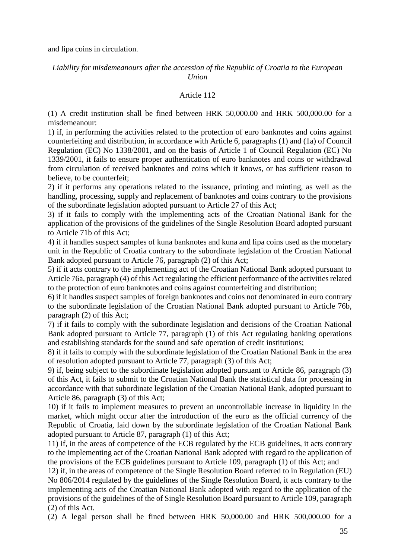and lipa coins in circulation.

# *Liability for misdemeanours after the accession of the Republic of Croatia to the European Union*

# Article 112

(1) A credit institution shall be fined between HRK 50,000.00 and HRK 500,000.00 for a misdemeanour:

1) if, in performing the activities related to the protection of euro banknotes and coins against counterfeiting and distribution, in accordance with Article 6, paragraphs (1) and (1a) of Council Regulation (EC) No 1338/2001, and on the basis of Article 1 of Council Regulation (EC) No 1339/2001, it fails to ensure proper authentication of euro banknotes and coins or withdrawal from circulation of received banknotes and coins which it knows, or has sufficient reason to believe, to be counterfeit;

2) if it performs any operations related to the issuance, printing and minting, as well as the handling, processing, supply and replacement of banknotes and coins contrary to the provisions of the subordinate legislation adopted pursuant to Article 27 of this Act;

3) if it fails to comply with the implementing acts of the Croatian National Bank for the application of the provisions of the guidelines of the Single Resolution Board adopted pursuant to Article 71b of this Act;

4) if it handles suspect samples of kuna banknotes and kuna and lipa coins used as the monetary unit in the Republic of Croatia contrary to the subordinate legislation of the Croatian National Bank adopted pursuant to Article 76, paragraph (2) of this Act;

5) if it acts contrary to the implementing act of the Croatian National Bank adopted pursuant to Article 76a, paragraph (4) of this Act regulating the efficient performance of the activities related to the protection of euro banknotes and coins against counterfeiting and distribution;

6) if it handles suspect samples of foreign banknotes and coins not denominated in euro contrary to the subordinate legislation of the Croatian National Bank adopted pursuant to Article 76b, paragraph (2) of this Act;

7) if it fails to comply with the subordinate legislation and decisions of the Croatian National Bank adopted pursuant to Article 77, paragraph (1) of this Act regulating banking operations and establishing standards for the sound and safe operation of credit institutions;

8) if it fails to comply with the subordinate legislation of the Croatian National Bank in the area of resolution adopted pursuant to Article 77, paragraph (3) of this Act;

9) if, being subject to the subordinate legislation adopted pursuant to Article 86, paragraph (3) of this Act, it fails to submit to the Croatian National Bank the statistical data for processing in accordance with that subordinate legislation of the Croatian National Bank, adopted pursuant to Article 86, paragraph (3) of this Act;

10) if it fails to implement measures to prevent an uncontrollable increase in liquidity in the market, which might occur after the introduction of the euro as the official currency of the Republic of Croatia, laid down by the subordinate legislation of the Croatian National Bank adopted pursuant to Article 87, paragraph (1) of this Act;

11) if, in the areas of competence of the ECB regulated by the ECB guidelines, it acts contrary to the implementing act of the Croatian National Bank adopted with regard to the application of the provisions of the ECB guidelines pursuant to Article 109, paragraph (1) of this Act; and

12) if, in the areas of competence of the Single Resolution Board referred to in Regulation (EU) No 806/2014 regulated by the guidelines of the Single Resolution Board, it acts contrary to the implementing acts of the Croatian National Bank adopted with regard to the application of the provisions of the guidelines of the of Single Resolution Board pursuant to Article 109, paragraph (2) of this Act.

(2) A legal person shall be fined between HRK 50,000.00 and HRK 500,000.00 for a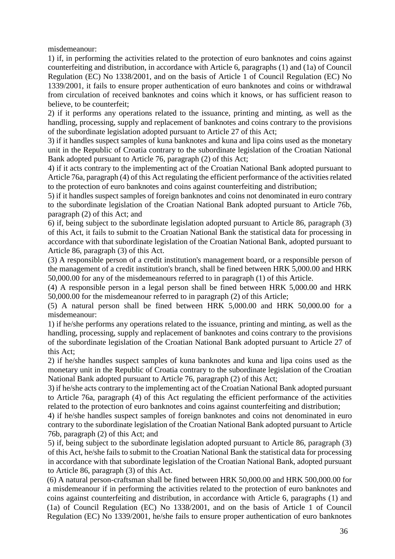misdemeanour:

1) if, in performing the activities related to the protection of euro banknotes and coins against counterfeiting and distribution, in accordance with Article 6, paragraphs (1) and (1a) of Council Regulation (EC) No 1338/2001, and on the basis of Article 1 of Council Regulation (EC) No 1339/2001, it fails to ensure proper authentication of euro banknotes and coins or withdrawal from circulation of received banknotes and coins which it knows, or has sufficient reason to believe, to be counterfeit;

2) if it performs any operations related to the issuance, printing and minting, as well as the handling, processing, supply and replacement of banknotes and coins contrary to the provisions of the subordinate legislation adopted pursuant to Article 27 of this Act;

3) if it handles suspect samples of kuna banknotes and kuna and lipa coins used as the monetary unit in the Republic of Croatia contrary to the subordinate legislation of the Croatian National Bank adopted pursuant to Article 76, paragraph (2) of this Act;

4) if it acts contrary to the implementing act of the Croatian National Bank adopted pursuant to Article 76a, paragraph (4) of this Act regulating the efficient performance of the activities related to the protection of euro banknotes and coins against counterfeiting and distribution;

5) if it handles suspect samples of foreign banknotes and coins not denominated in euro contrary to the subordinate legislation of the Croatian National Bank adopted pursuant to Article 76b, paragraph (2) of this Act; and

6) if, being subject to the subordinate legislation adopted pursuant to Article 86, paragraph (3) of this Act, it fails to submit to the Croatian National Bank the statistical data for processing in accordance with that subordinate legislation of the Croatian National Bank, adopted pursuant to Article 86, paragraph (3) of this Act.

(3) A responsible person of a credit institution's management board, or a responsible person of the management of a credit institution's branch, shall be fined between HRK 5,000.00 and HRK 50,000.00 for any of the misdemeanours referred to in paragraph (1) of this Article.

(4) A responsible person in a legal person shall be fined between HRK 5,000.00 and HRK 50,000.00 for the misdemeanour referred to in paragraph (2) of this Article;

(5) A natural person shall be fined between HRK 5,000.00 and HRK 50,000.00 for a misdemeanour:

1) if he/she performs any operations related to the issuance, printing and minting, as well as the handling, processing, supply and replacement of banknotes and coins contrary to the provisions of the subordinate legislation of the Croatian National Bank adopted pursuant to Article 27 of this Act;

2) if he/she handles suspect samples of kuna banknotes and kuna and lipa coins used as the monetary unit in the Republic of Croatia contrary to the subordinate legislation of the Croatian National Bank adopted pursuant to Article 76, paragraph (2) of this Act;

3) if he/she acts contrary to the implementing act of the Croatian National Bank adopted pursuant to Article 76a, paragraph (4) of this Act regulating the efficient performance of the activities related to the protection of euro banknotes and coins against counterfeiting and distribution;

4) if he/she handles suspect samples of foreign banknotes and coins not denominated in euro contrary to the subordinate legislation of the Croatian National Bank adopted pursuant to Article 76b, paragraph (2) of this Act; and

5) if, being subject to the subordinate legislation adopted pursuant to Article 86, paragraph (3) of this Act, he/she fails to submit to the Croatian National Bank the statistical data for processing in accordance with that subordinate legislation of the Croatian National Bank, adopted pursuant to Article 86, paragraph (3) of this Act.

(6) A natural person-craftsman shall be fined between HRK 50,000.00 and HRK 500,000.00 for a misdemeanour if in performing the activities related to the protection of euro banknotes and coins against counterfeiting and distribution, in accordance with Article 6, paragraphs (1) and (1a) of Council Regulation (EC) No 1338/2001, and on the basis of Article 1 of Council Regulation (EC) No 1339/2001, he/she fails to ensure proper authentication of euro banknotes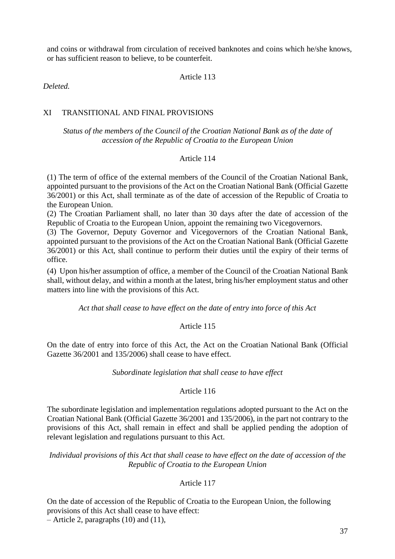and coins or withdrawal from circulation of received banknotes and coins which he/she knows, or has sufficient reason to believe, to be counterfeit.

Article 113

*Deleted.* 

# XI TRANSITIONAL AND FINAL PROVISIONS

# *Status of the members of the Council of the Croatian National Bank as of the date of accession of the Republic of Croatia to the European Union*

# Article 114

(1) The term of office of the external members of the Council of the Croatian National Bank, appointed pursuant to the provisions of the Act on the Croatian National Bank (Official Gazette 36/2001) or this Act, shall terminate as of the date of accession of the Republic of Croatia to the European Union.

(2) The Croatian Parliament shall, no later than 30 days after the date of accession of the Republic of Croatia to the European Union, appoint the remaining two Vicegovernors.

(3) The Governor, Deputy Governor and Vicegovernors of the Croatian National Bank, appointed pursuant to the provisions of the Act on the Croatian National Bank (Official Gazette 36/2001) or this Act, shall continue to perform their duties until the expiry of their terms of office.

(4) Upon his/her assumption of office, a member of the Council of the Croatian National Bank shall, without delay, and within a month at the latest, bring his/her employment status and other matters into line with the provisions of this Act.

*Act that shall cease to have effect on the date of entry into force of this Act*

# Article 115

On the date of entry into force of this Act, the Act on the Croatian National Bank (Official Gazette 36/2001 and 135/2006) shall cease to have effect.

# *Subordinate legislation that shall cease to have effect*

# Article 116

The subordinate legislation and implementation regulations adopted pursuant to the Act on the Croatian National Bank (Official Gazette 36/2001 and 135/2006), in the part not contrary to the provisions of this Act, shall remain in effect and shall be applied pending the adoption of relevant legislation and regulations pursuant to this Act.

*Individual provisions of this Act that shall cease to have effect on the date of accession of the Republic of Croatia to the European Union*

# Article 117

On the date of accession of the Republic of Croatia to the European Union, the following provisions of this Act shall cease to have effect: – Article 2, paragraphs (10) and (11),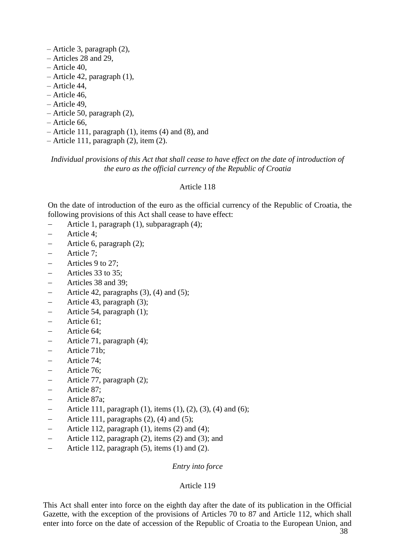- Article 3, paragraph (2),
- Articles 28 and 29,
- Article 40,
- Article 42, paragraph (1),
- Article 44,
- Article 46,
- Article 49,
- Article 50, paragraph (2),
- Article 66,
- Article 111, paragraph (1), items (4) and (8), and
- Article 111, paragraph (2), item (2).

# *Individual provisions of this Act that shall cease to have effect on the date of introduction of the euro as the official currency of the Republic of Croatia*

# Article 118

On the date of introduction of the euro as the official currency of the Republic of Croatia, the following provisions of this Act shall cease to have effect:

- Article 1, paragraph (1), subparagraph (4);
- Article 4;
- Article 6, paragraph (2);
- Article 7;
- Articles 9 to 27;
- Articles 33 to 35;
- Articles 38 and 39;
- Article 42, paragraphs  $(3)$ ,  $(4)$  and  $(5)$ ;
- Article 43, paragraph (3);
- Article 54, paragraph (1);
- Article 61;
- Article 64;
- Article 71, paragraph (4);
- Article 71b;
- Article 74:
- Article 76;
- Article 77, paragraph (2);
- Article 87;
- Article 87a;
- Article 111, paragraph (1), items (1), (2), (3), (4) and (6);
- Article 111, paragraphs  $(2)$ ,  $(4)$  and  $(5)$ ;
- Article 112, paragraph (1), items (2) and (4);
- Article 112, paragraph (2), items (2) and (3); and
- Article 112, paragraph (5), items (1) and (2).

# *Entry into force*

# Article 119

This Act shall enter into force on the eighth day after the date of its publication in the Official Gazette, with the exception of the provisions of Articles 70 to 87 and Article 112, which shall enter into force on the date of accession of the Republic of Croatia to the European Union, and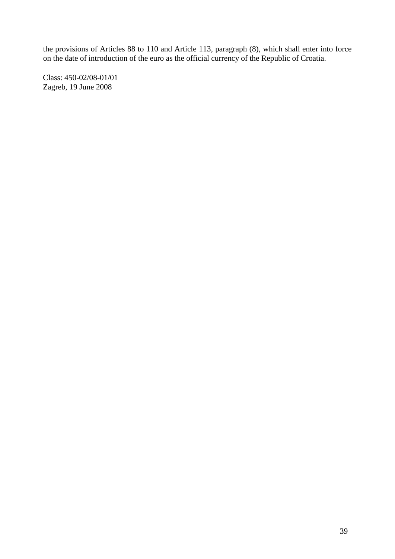the provisions of Articles 88 to 110 and Article 113, paragraph (8), which shall enter into force on the date of introduction of the euro as the official currency of the Republic of Croatia.

Class: 450-02/08-01/01 Zagreb, 19 June 2008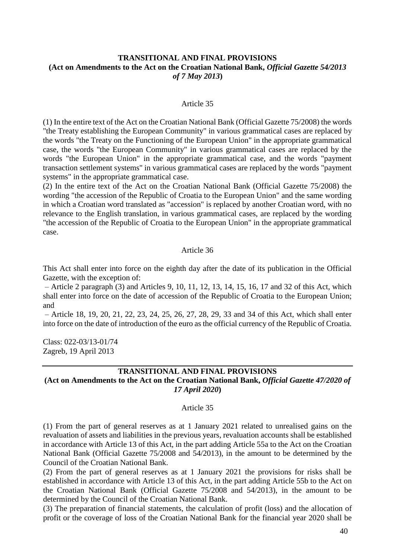# **TRANSITIONAL AND FINAL PROVISIONS (Act on Amendments to the Act on the Croatian National Bank,** *Official Gazette 54/2013 of 7 May 2013***)**

#### Article 35

(1) In the entire text of the Act on the Croatian National Bank (Official Gazette 75/2008) the words "the Treaty establishing the European Community" in various grammatical cases are replaced by the words "the Treaty on the Functioning of the European Union" in the appropriate grammatical case, the words "the European Community" in various grammatical cases are replaced by the words "the European Union" in the appropriate grammatical case, and the words "payment transaction settlement systems" in various grammatical cases are replaced by the words "payment systems" in the appropriate grammatical case.

(2) In the entire text of the Act on the Croatian National Bank (Official Gazette 75/2008) the wording "the accession of the Republic of Croatia to the European Union" and the same wording in which a Croatian word translated as "accession" is replaced by another Croatian word, with no relevance to the English translation, in various grammatical cases, are replaced by the wording "the accession of the Republic of Croatia to the European Union" in the appropriate grammatical case.

### Article 36

This Act shall enter into force on the eighth day after the date of its publication in the Official Gazette, with the exception of:

– Article 2 paragraph (3) and Articles 9, 10, 11, 12, 13, 14, 15, 16, 17 and 32 of this Act, which shall enter into force on the date of accession of the Republic of Croatia to the European Union; and

– Article 18, 19, 20, 21, 22, 23, 24, 25, 26, 27, 28, 29, 33 and 34 of this Act, which shall enter into force on the date of introduction of the euro as the official currency of the Republic of Croatia.

Class: 022-03/13-01/74 Zagreb, 19 April 2013

# **TRANSITIONAL AND FINAL PROVISIONS (Act on Amendments to the Act on the Croatian National Bank,** *Official Gazette 47/2020 of 17 April 2020***)**

#### Article 35

(1) From the part of general reserves as at 1 January 2021 related to unrealised gains on the revaluation of assets and liabilities in the previous years, revaluation accounts shall be established in accordance with Article 13 of this Act, in the part adding Article 55a to the Act on the Croatian National Bank (Official Gazette 75/2008 and 54/2013), in the amount to be determined by the Council of the Croatian National Bank.

(2) From the part of general reserves as at 1 January 2021 the provisions for risks shall be established in accordance with Article 13 of this Act, in the part adding Article 55b to the Act on the Croatian National Bank (Official Gazette 75/2008 and 54/2013), in the amount to be determined by the Council of the Croatian National Bank.

(3) The preparation of financial statements, the calculation of profit (loss) and the allocation of profit or the coverage of loss of the Croatian National Bank for the financial year 2020 shall be